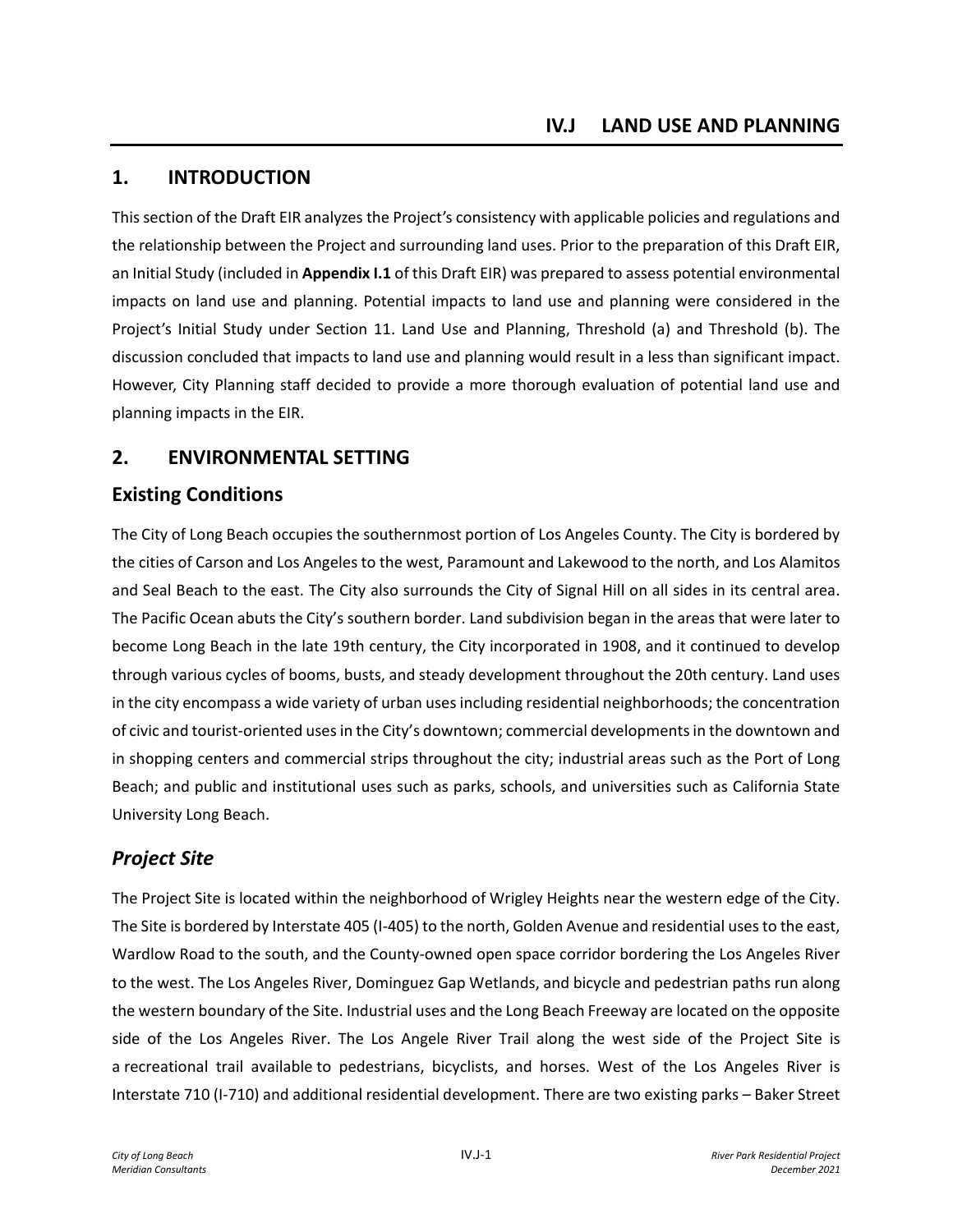# **1. INTRODUCTION**

This section of the Draft EIR analyzes the Project's consistency with applicable policies and regulations and the relationship between the Project and surrounding land uses. Prior to the preparation of this Draft EIR, an Initial Study (included in **Appendix I.1** of this Draft EIR) was prepared to assess potential environmental impacts on land use and planning. Potential impacts to land use and planning were considered in the Project's Initial Study under Section 11. Land Use and Planning, Threshold (a) and Threshold (b). The discussion concluded that impacts to land use and planning would result in a less than significant impact. However, City Planning staff decided to provide a more thorough evaluation of potential land use and planning impacts in the EIR.

# **2. ENVIRONMENTAL SETTING**

# **Existing Conditions**

The City of Long Beach occupies the southernmost portion of Los Angeles County. The City is bordered by the cities of Carson and Los Angeles to the west, Paramount and Lakewood to the north, and Los Alamitos and Seal Beach to the east. The City also surrounds the City of Signal Hill on all sides in its central area. The Pacific Ocean abuts the City's southern border. Land subdivision began in the areas that were later to become Long Beach in the late 19th century, the City incorporated in 1908, and it continued to develop through various cycles of booms, busts, and steady development throughout the 20th century. Land uses in the city encompass a wide variety of urban uses including residential neighborhoods; the concentration of civic and tourist-oriented uses in the City's downtown; commercial developments in the downtown and in shopping centers and commercial strips throughout the city; industrial areas such as the Port of Long Beach; and public and institutional uses such as parks, schools, and universities such as California State University Long Beach.

# *Project Site*

The Project Site is located within the neighborhood of Wrigley Heights near the western edge of the City. The Site is bordered by Interstate 405 (I-405) to the north, Golden Avenue and residential uses to the east, Wardlow Road to the south, and the County-owned open space corridor bordering the Los Angeles River to the west. The Los Angeles River, Dominguez Gap Wetlands, and bicycle and pedestrian paths run along the western boundary of the Site. Industrial uses and the Long Beach Freeway are located on the opposite side of the Los Angeles River. The Los Angele River Trail along the west side of the Project Site is a recreational trail available to pedestrians, bicyclists, and horses. West of the Los Angeles River is Interstate 710 (I-710) and additional residential development. There are two existing parks – Baker Street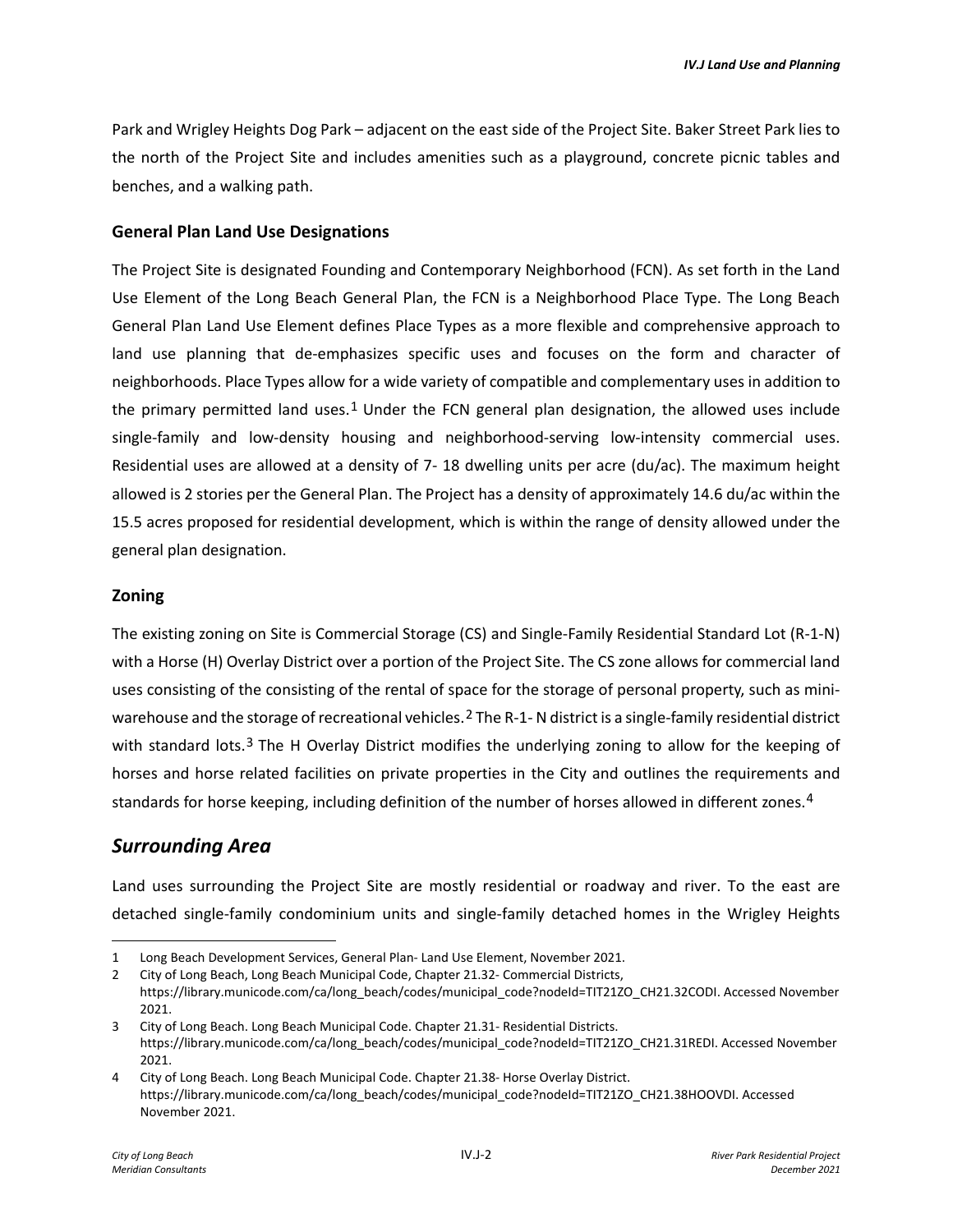Park and Wrigley Heights Dog Park – adjacent on the east side of the Project Site. Baker Street Park lies to the north of the Project Site and includes amenities such as a playground, concrete picnic tables and benches, and a walking path.

#### **General Plan Land Use Designations**

The Project Site is designated Founding and Contemporary Neighborhood (FCN). As set forth in the Land Use Element of the Long Beach General Plan, the FCN is a Neighborhood Place Type. The Long Beach General Plan Land Use Element defines Place Types as a more flexible and comprehensive approach to land use planning that de-emphasizes specific uses and focuses on the form and character of neighborhoods. Place Types allow for a wide variety of compatible and complementary uses in addition to the primary permitted land uses.<sup>[1](#page-1-0)</sup> Under the FCN general plan designation, the allowed uses include single-family and low-density housing and neighborhood-serving low-intensity commercial uses. Residential uses are allowed at a density of 7- 18 dwelling units per acre (du/ac). The maximum height allowed is 2 stories per the General Plan. The Project has a density of approximately 14.6 du/ac within the 15.5 acres proposed for residential development, which is within the range of density allowed under the general plan designation.

#### **Zoning**

The existing zoning on Site is Commercial Storage (CS) and Single-Family Residential Standard Lot (R-1-N) with a Horse (H) Overlay District over a portion of the Project Site. The CS zone allows for commercial land uses consisting of the consisting of the rental of space for the storage of personal property, such as mini-warehouse and the storage of recreational vehicles.<sup>[2](#page-1-1)</sup> The R-1-N district is a single-family residential district with standard lots.<sup>[3](#page-1-2)</sup> The H Overlay District modifies the underlying zoning to allow for the keeping of horses and horse related facilities on private properties in the City and outlines the requirements and standards for horse keeping, including definition of the number of horses allowed in different zones.<sup>[4](#page-1-3)</sup>

### *Surrounding Area*

Land uses surrounding the Project Site are mostly residential or roadway and river. To the east are detached single-family condominium units and single-family detached homes in the Wrigley Heights

<span id="page-1-0"></span><sup>1</sup> Long Beach Development Services, General Plan- Land Use Element, November 2021.

<span id="page-1-1"></span><sup>2</sup> City of Long Beach, Long Beach Municipal Code, Chapter 21.32- Commercial Districts, https://library.municode.com/ca/long\_beach/codes/municipal\_code?nodeId=TIT21ZO\_CH21.32CODI. Accessed November 2021.

<span id="page-1-2"></span><sup>3</sup> City of Long Beach. Long Beach Municipal Code. Chapter 21.31- Residential Districts. https://library.municode.com/ca/long\_beach/codes/municipal\_code?nodeId=TIT21ZO\_CH21.31REDI. Accessed November 2021.

<span id="page-1-3"></span><sup>4</sup> City of Long Beach. Long Beach Municipal Code. Chapter 21.38- Horse Overlay District. https://library.municode.com/ca/long\_beach/codes/municipal\_code?nodeId=TIT21ZO\_CH21.38HOOVDI. Accessed November 2021.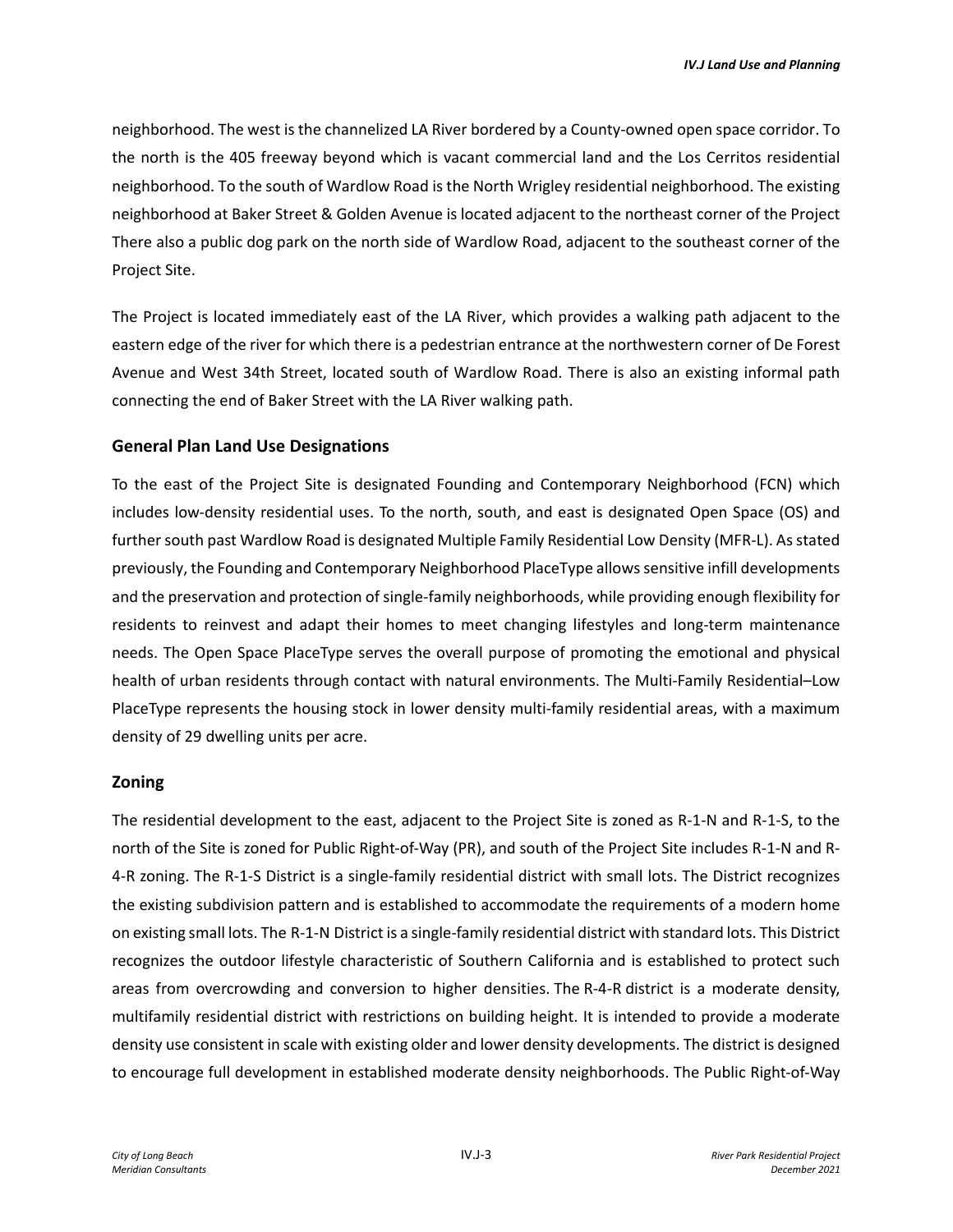neighborhood. The west is the channelized LA River bordered by a County-owned open space corridor. To the north is the 405 freeway beyond which is vacant commercial land and the Los Cerritos residential neighborhood. To the south of Wardlow Road is the North Wrigley residential neighborhood. The existing neighborhood at Baker Street & Golden Avenue is located adjacent to the northeast corner of the Project There also a public dog park on the north side of Wardlow Road, adjacent to the southeast corner of the Project Site.

The Project is located immediately east of the LA River, which provides a walking path adjacent to the eastern edge of the river for which there is a pedestrian entrance at the northwestern corner of De Forest Avenue and West 34th Street, located south of Wardlow Road. There is also an existing informal path connecting the end of Baker Street with the LA River walking path.

#### **General Plan Land Use Designations**

To the east of the Project Site is designated Founding and Contemporary Neighborhood (FCN) which includes low-density residential uses. To the north, south, and east is designated Open Space (OS) and further south past Wardlow Road is designated Multiple Family Residential Low Density (MFR-L). As stated previously, the Founding and Contemporary Neighborhood PlaceType allows sensitive infill developments and the preservation and protection of single-family neighborhoods, while providing enough flexibility for residents to reinvest and adapt their homes to meet changing lifestyles and long-term maintenance needs. The Open Space PlaceType serves the overall purpose of promoting the emotional and physical health of urban residents through contact with natural environments. The Multi-Family Residential–Low PlaceType represents the housing stock in lower density multi-family residential areas, with a maximum density of 29 dwelling units per acre.

#### **Zoning**

The residential development to the east, adjacent to the Project Site is zoned as R-1-N and R-1-S, to the north of the Site is zoned for Public Right-of-Way (PR), and south of the Project Site includes R-1-N and R-4-R zoning. The R-1-S District is a single-family residential district with small lots. The District recognizes the existing subdivision pattern and is established to accommodate the requirements of a modern home on existing small lots. The R-1-N District is a single-family residential district with standard lots. This District recognizes the outdoor lifestyle characteristic of Southern California and is established to protect such areas from overcrowding and conversion to higher densities. The R-4-R district is a moderate density, multifamily residential district with restrictions on building height. It is intended to provide a moderate density use consistent in scale with existing older and lower density developments. The district is designed to encourage full development in established moderate density neighborhoods. The Public Right-of-Way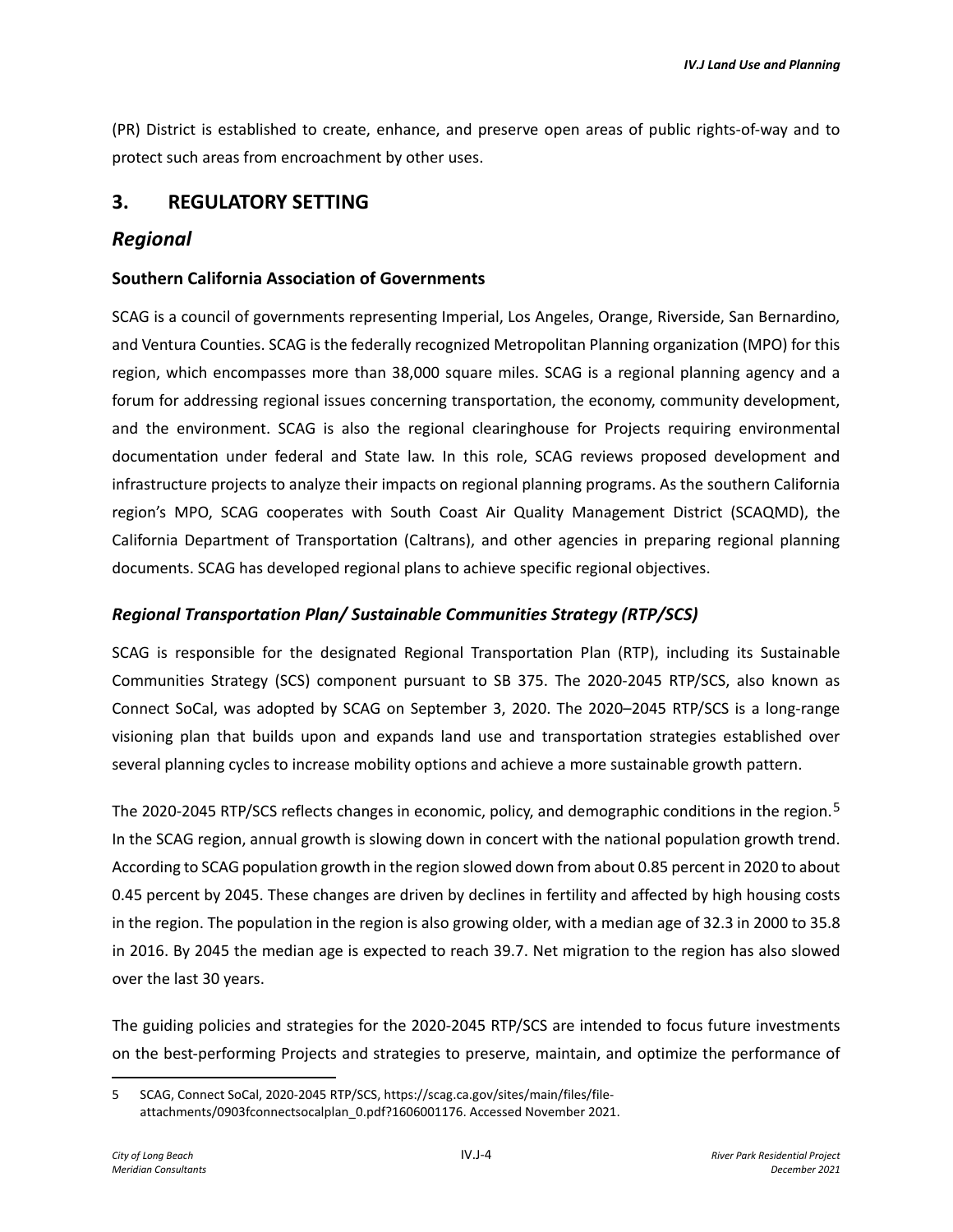(PR) District is established to create, enhance, and preserve open areas of public rights-of-way and to protect such areas from encroachment by other uses.

### **3. REGULATORY SETTING**

### *Regional*

#### **Southern California Association of Governments**

SCAG is a council of governments representing Imperial, Los Angeles, Orange, Riverside, San Bernardino, and Ventura Counties. SCAG is the federally recognized Metropolitan Planning organization (MPO) for this region, which encompasses more than 38,000 square miles. SCAG is a regional planning agency and a forum for addressing regional issues concerning transportation, the economy, community development, and the environment. SCAG is also the regional clearinghouse for Projects requiring environmental documentation under federal and State law. In this role, SCAG reviews proposed development and infrastructure projects to analyze their impacts on regional planning programs. As the southern California region's MPO, SCAG cooperates with South Coast Air Quality Management District (SCAQMD), the California Department of Transportation (Caltrans), and other agencies in preparing regional planning documents. SCAG has developed regional plans to achieve specific regional objectives.

#### *Regional Transportation Plan/ Sustainable Communities Strategy (RTP/SCS)*

SCAG is responsible for the designated Regional Transportation Plan (RTP), including its Sustainable Communities Strategy (SCS) component pursuant to SB 375. The 2020-2045 RTP/SCS, also known as Connect SoCal, was adopted by SCAG on September 3, 2020. The 2020–2045 RTP/SCS is a long-range visioning plan that builds upon and expands land use and transportation strategies established over several planning cycles to increase mobility options and achieve a more sustainable growth pattern.

The 2020-204[5](#page-3-0) RTP/SCS reflects changes in economic, policy, and demographic conditions in the region.<sup>5</sup> In the SCAG region, annual growth is slowing down in concert with the national population growth trend. According to SCAG population growth in the region slowed down from about 0.85 percent in 2020 to about 0.45 percent by 2045. These changes are driven by declines in fertility and affected by high housing costs in the region. The population in the region is also growing older, with a median age of 32.3 in 2000 to 35.8 in 2016. By 2045 the median age is expected to reach 39.7. Net migration to the region has also slowed over the last 30 years.

The guiding policies and strategies for the 2020-2045 RTP/SCS are intended to focus future investments on the best-performing Projects and strategies to preserve, maintain, and optimize the performance of

<span id="page-3-0"></span><sup>5</sup> SCAG, Connect SoCal, 2020-2045 RTP/SCS, https://scag.ca.gov/sites/main/files/fileattachments/0903fconnectsocalplan\_0.pdf?1606001176. Accessed November 2021.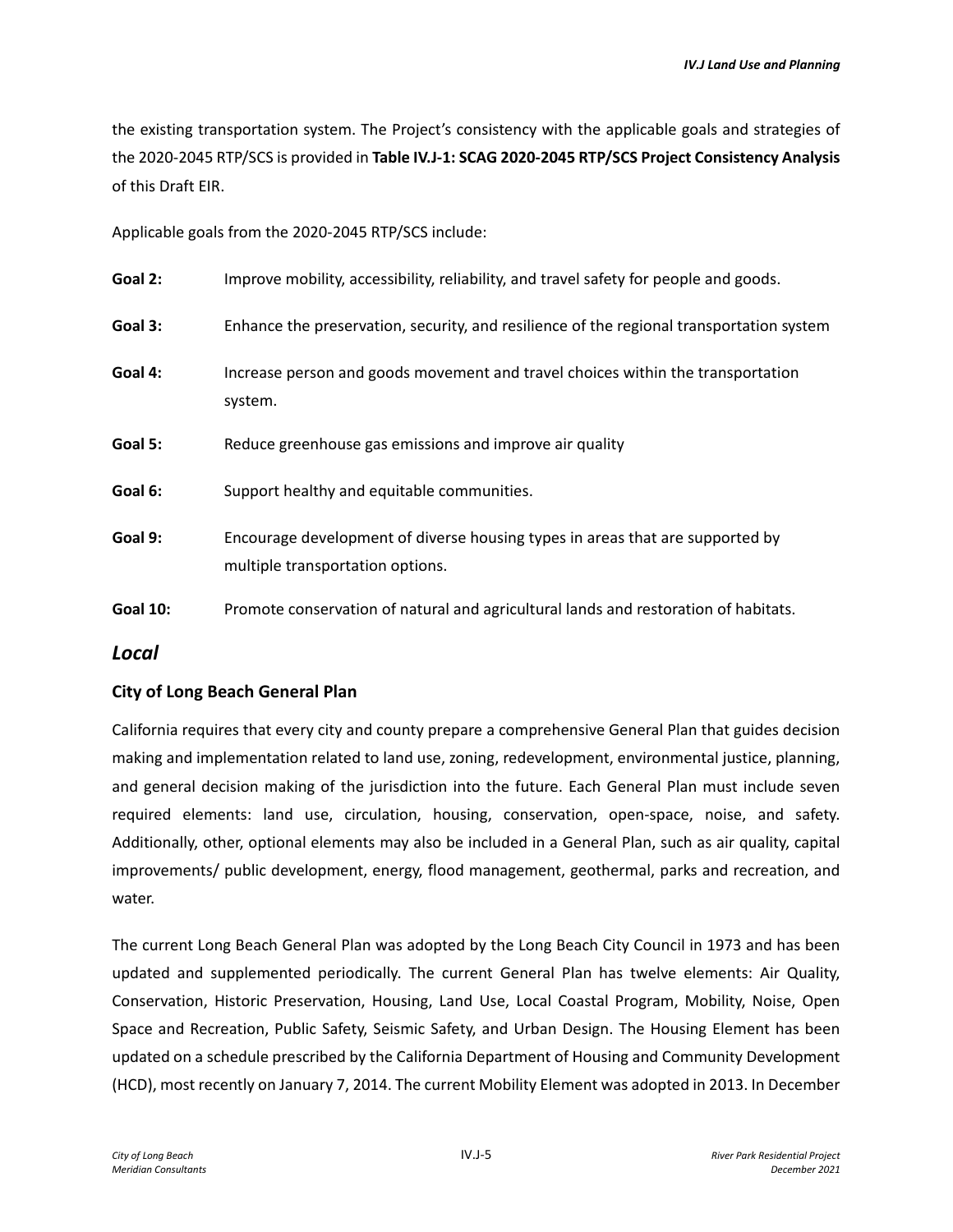the existing transportation system. The Project's consistency with the applicable goals and strategies of the 2020-2045 RTP/SCS is provided in **Table IV.J-1: SCAG 2020-2045 RTP/SCS Project Consistency Analysis** of this Draft EIR.

Applicable goals from the 2020-2045 RTP/SCS include:

| Goal 2:         | Improve mobility, accessibility, reliability, and travel safety for people and goods.                             |
|-----------------|-------------------------------------------------------------------------------------------------------------------|
| Goal 3:         | Enhance the preservation, security, and resilience of the regional transportation system                          |
| Goal 4:         | Increase person and goods movement and travel choices within the transportation<br>system.                        |
| Goal 5:         | Reduce greenhouse gas emissions and improve air quality                                                           |
| Goal 6:         | Support healthy and equitable communities.                                                                        |
| Goal 9:         | Encourage development of diverse housing types in areas that are supported by<br>multiple transportation options. |
| <b>Goal 10:</b> | Promote conservation of natural and agricultural lands and restoration of habitats.                               |

### *Local*

### **City of Long Beach General Plan**

California requires that every city and county prepare a comprehensive General Plan that guides decision making and implementation related to land use, zoning, redevelopment, environmental justice, planning, and general decision making of the jurisdiction into the future. Each General Plan must include seven required elements: land use, circulation, housing, conservation, open-space, noise, and safety. Additionally, other, optional elements may also be included in a General Plan, such as air quality, capital improvements/ public development, energy, flood management, geothermal, parks and recreation, and water.

The current Long Beach General Plan was adopted by the Long Beach City Council in 1973 and has been updated and supplemented periodically. The current General Plan has twelve elements: Air Quality, Conservation, Historic Preservation, Housing, Land Use, Local Coastal Program, Mobility, Noise, Open Space and Recreation, Public Safety, Seismic Safety, and Urban Design. The Housing Element has been updated on a schedule prescribed by the California Department of Housing and Community Development (HCD), most recently on January 7, 2014. The current Mobility Element was adopted in 2013. In December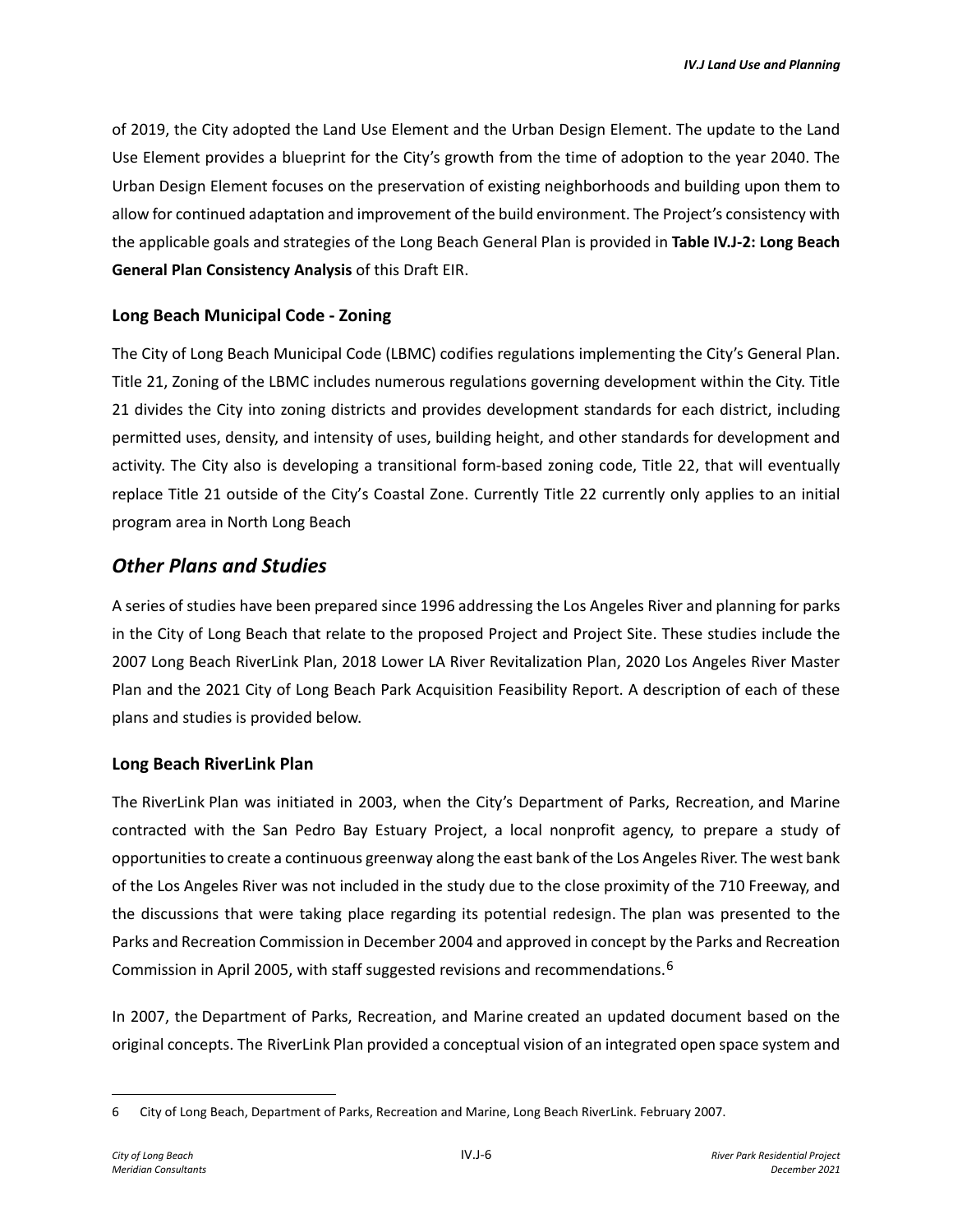of 2019, the City adopted the Land Use Element and the Urban Design Element. The update to the Land Use Element provides a blueprint for the City's growth from the time of adoption to the year 2040. The Urban Design Element focuses on the preservation of existing neighborhoods and building upon them to allow for continued adaptation and improvement of the build environment. The Project's consistency with the applicable goals and strategies of the Long Beach General Plan is provided in **Table IV.J-2: Long Beach General Plan Consistency Analysis** of this Draft EIR.

### **Long Beach Municipal Code - Zoning**

The City of Long Beach Municipal Code (LBMC) codifies regulations implementing the City's General Plan. Title 21, Zoning of the LBMC includes numerous regulations governing development within the City. Title 21 divides the City into zoning districts and provides development standards for each district, including permitted uses, density, and intensity of uses, building height, and other standards for development and activity. The City also is developing a transitional form-based zoning code, Title 22, that will eventually replace Title 21 outside of the City's Coastal Zone. Currently Title 22 currently only applies to an initial program area in North Long Beach

# *Other Plans and Studies*

A series of studies have been prepared since 1996 addressing the Los Angeles River and planning for parks in the City of Long Beach that relate to the proposed Project and Project Site. These studies include the 2007 Long Beach RiverLink Plan, 2018 Lower LA River Revitalization Plan, 2020 Los Angeles River Master Plan and the 2021 City of Long Beach Park Acquisition Feasibility Report. A description of each of these plans and studies is provided below.

### **Long Beach RiverLink Plan**

The RiverLink Plan was initiated in 2003, when the City's Department of Parks, Recreation, and Marine contracted with the San Pedro Bay Estuary Project, a local nonprofit agency, to prepare a study of opportunities to create a continuous greenway along the east bank of the Los Angeles River. The west bank of the Los Angeles River was not included in the study due to the close proximity of the 710 Freeway, and the discussions that were taking place regarding its potential redesign. The plan was presented to the Parks and Recreation Commission in December 2004 and approved in concept by the Parks and Recreation Commission in April 2005, with staff suggested revisions and recommendations.[6](#page-5-0) 

In 2007, the Department of Parks, Recreation, and Marine created an updated document based on the original concepts. The RiverLink Plan provided a conceptual vision of an integrated open space system and

<span id="page-5-0"></span><sup>6</sup> City of Long Beach, Department of Parks, Recreation and Marine, Long Beach RiverLink. February 2007.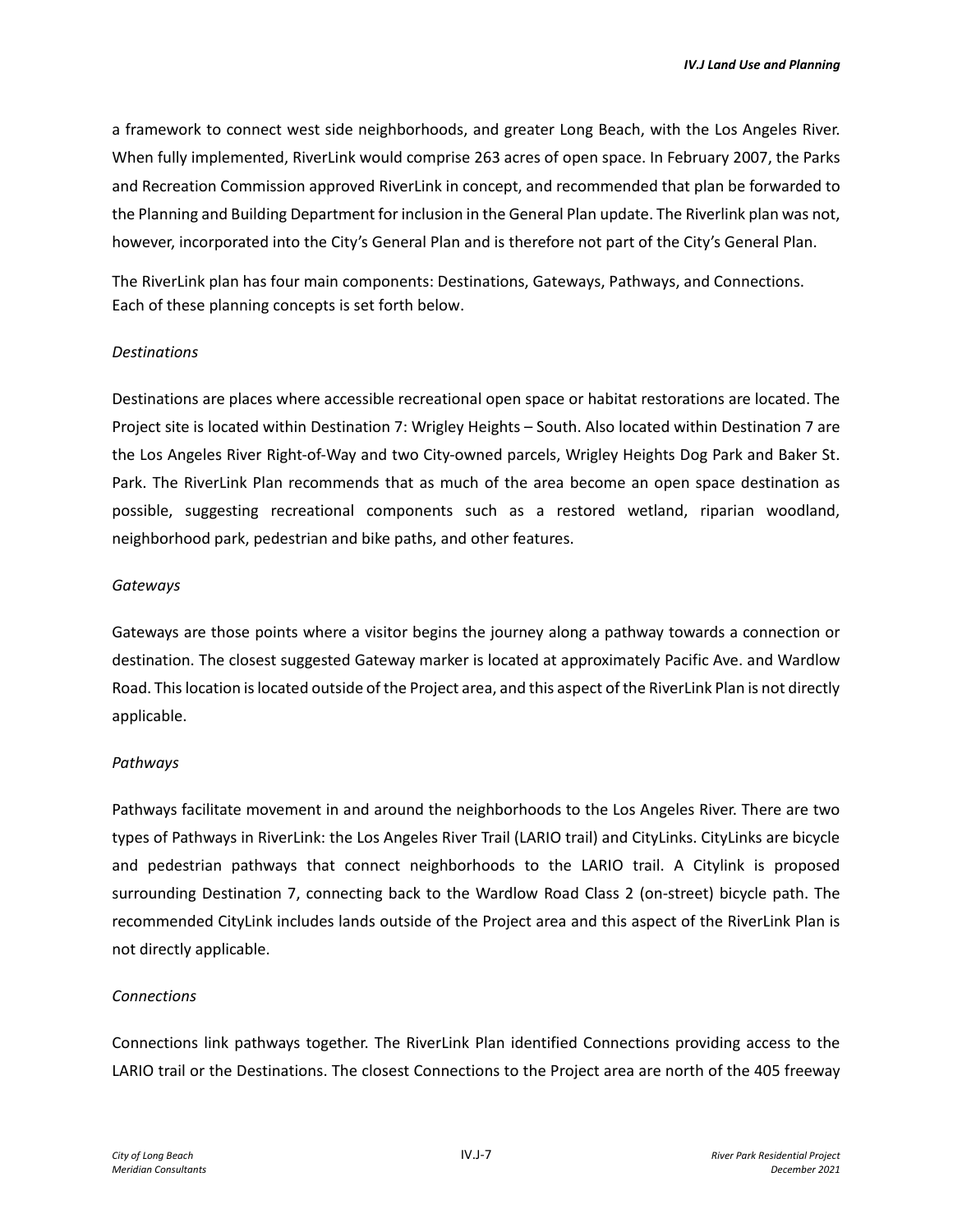a framework to connect west side neighborhoods, and greater Long Beach, with the Los Angeles River. When fully implemented, RiverLink would comprise 263 acres of open space. In February 2007, the Parks and Recreation Commission approved RiverLink in concept, and recommended that plan be forwarded to the Planning and Building Department for inclusion in the General Plan update. The Riverlink plan was not, however, incorporated into the City's General Plan and is therefore not part of the City's General Plan.

The RiverLink plan has four main components: Destinations, Gateways, Pathways, and Connections. Each of these planning concepts is set forth below.

#### *Destinations*

Destinations are places where accessible recreational open space or habitat restorations are located. The Project site is located within Destination 7: Wrigley Heights – South. Also located within Destination 7 are the Los Angeles River Right-of-Way and two City-owned parcels, Wrigley Heights Dog Park and Baker St. Park. The RiverLink Plan recommends that as much of the area become an open space destination as possible, suggesting recreational components such as a restored wetland, riparian woodland, neighborhood park, pedestrian and bike paths, and other features.

#### *Gateways*

Gateways are those points where a visitor begins the journey along a pathway towards a connection or destination. The closest suggested Gateway marker is located at approximately Pacific Ave. and Wardlow Road. This location is located outside of the Project area, and this aspect of the RiverLink Plan is not directly applicable.

#### *Pathways*

Pathways facilitate movement in and around the neighborhoods to the Los Angeles River. There are two types of Pathways in RiverLink: the Los Angeles River Trail (LARIO trail) and CityLinks. CityLinks are bicycle and pedestrian pathways that connect neighborhoods to the LARIO trail. A Citylink is proposed surrounding Destination 7, connecting back to the Wardlow Road Class 2 (on-street) bicycle path. The recommended CityLink includes lands outside of the Project area and this aspect of the RiverLink Plan is not directly applicable.

#### *Connections*

Connections link pathways together. The RiverLink Plan identified Connections providing access to the LARIO trail or the Destinations. The closest Connections to the Project area are north of the 405 freeway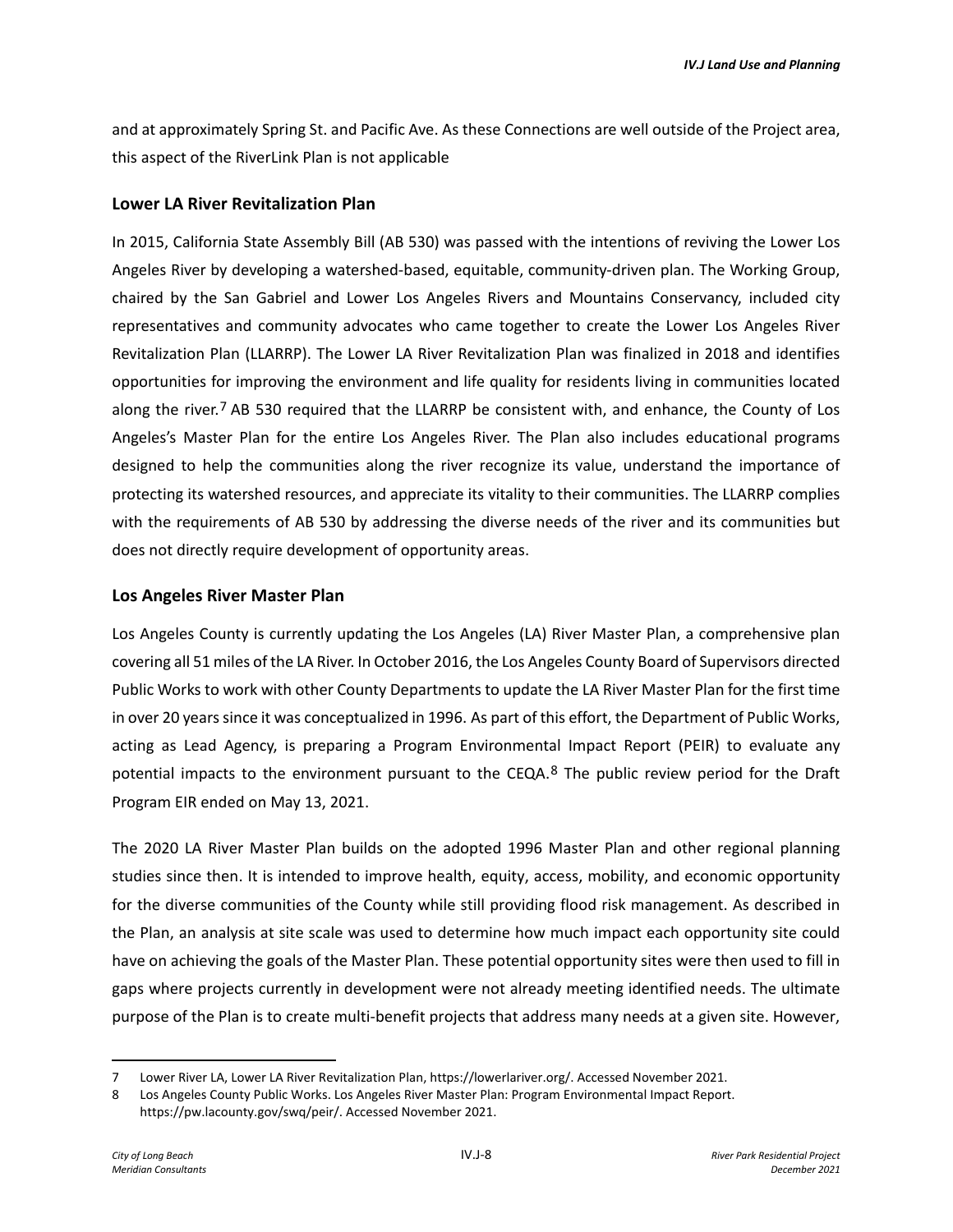and at approximately Spring St. and Pacific Ave. As these Connections are well outside of the Project area, this aspect of the RiverLink Plan is not applicable

#### **Lower LA River Revitalization Plan**

In 2015, California State Assembly Bill (AB 530) was passed with the intentions of reviving the Lower Los Angeles River by developing a watershed-based, equitable, community-driven plan. The Working Group, chaired by the San Gabriel and Lower Los Angeles Rivers and Mountains Conservancy, included city representatives and community advocates who came together to create the Lower Los Angeles River Revitalization Plan (LLARRP). The Lower LA River Revitalization Plan was finalized in 2018 and identifies opportunities for improving the environment and life quality for residents living in communities located along the river.<sup>[7](#page-7-0)</sup> AB 530 required that the LLARRP be consistent with, and enhance, the County of Los Angeles's Master Plan for the entire Los Angeles River. The Plan also includes educational programs designed to help the communities along the river recognize its value, understand the importance of protecting its watershed resources, and appreciate its vitality to their communities. The LLARRP complies with the requirements of AB 530 by addressing the diverse needs of the river and its communities but does not directly require development of opportunity areas.

#### **Los Angeles River Master Plan**

Los Angeles County is currently updating the Los Angeles (LA) River Master Plan, a comprehensive plan covering all 51 miles of the LA River. In October 2016, the Los Angeles County Board of Supervisors directed Public Works to work with other County Departments to update the LA River Master Plan for the first time in over 20 yearssince it was conceptualized in 1996. As part of this effort, the Department of Public Works, acting as Lead Agency, is preparing a Program Environmental Impact Report (PEIR) to evaluate any potential impacts to the environment pursuant to the CEQA.<sup>[8](#page-7-1)</sup> The public review period for the Draft Program EIR ended on May 13, 2021.

The 2020 LA River Master Plan builds on the adopted 1996 Master Plan and other regional planning studies since then. It is intended to improve health, equity, access, mobility, and economic opportunity for the diverse communities of the County while still providing flood risk management. As described in the Plan, an analysis at site scale was used to determine how much impact each opportunity site could have on achieving the goals of the Master Plan. These potential opportunity sites were then used to fill in gaps where projects currently in development were not already meeting identified needs. The ultimate purpose of the Plan is to create multi-benefit projects that address many needs at a given site. However,

<span id="page-7-0"></span><sup>7</sup> Lower River LA, Lower LA River Revitalization Plan, https://lowerlariver.org/. Accessed November 2021.

<span id="page-7-1"></span><sup>8</sup> Los Angeles County Public Works. Los Angeles River Master Plan: Program Environmental Impact Report. https://pw.lacounty.gov/swq/peir/. Accessed November 2021.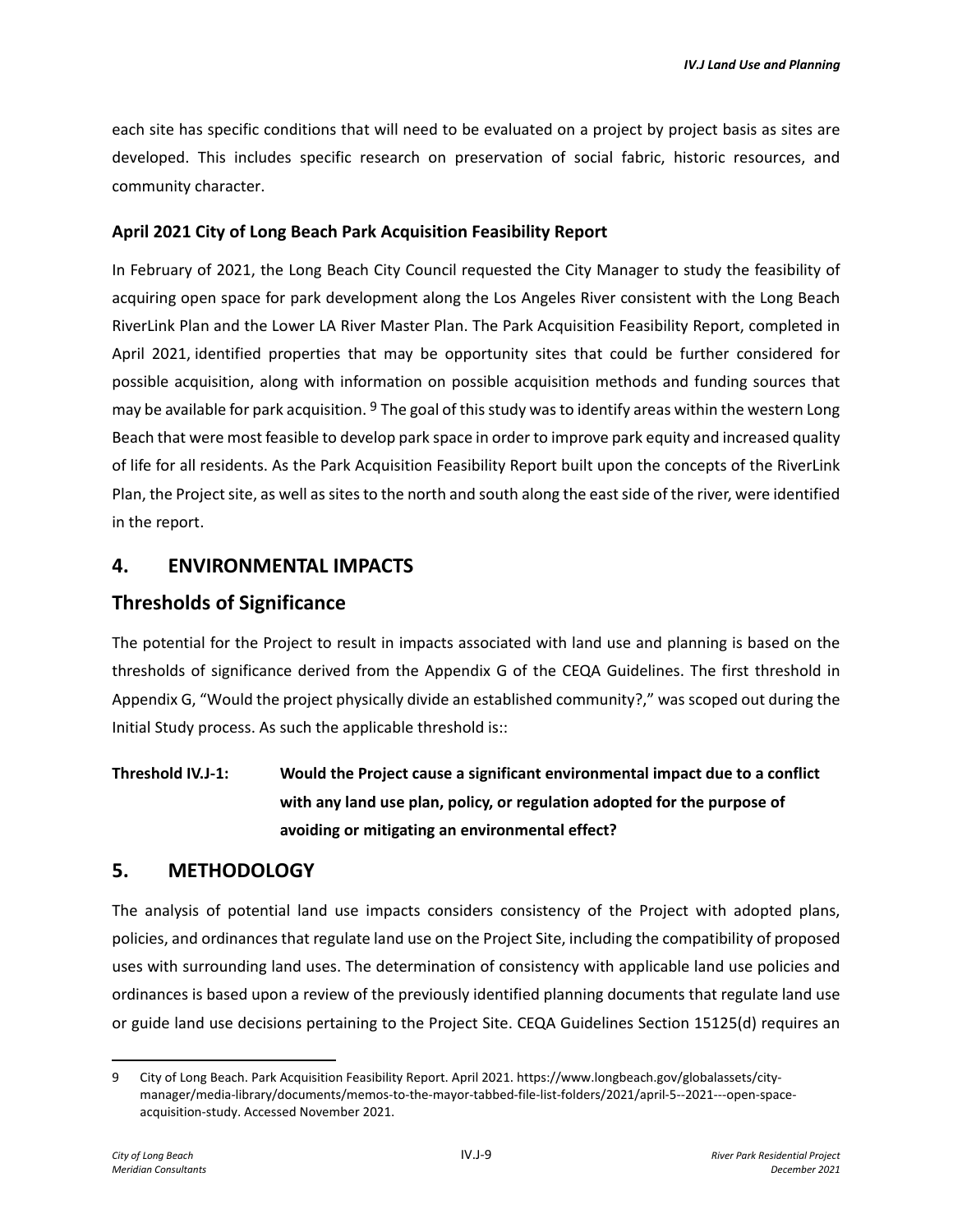each site has specific conditions that will need to be evaluated on a project by project basis as sites are developed. This includes specific research on preservation of social fabric, historic resources, and community character.

### **April 2021 City of Long Beach Park Acquisition Feasibility Report**

In February of 2021, the Long Beach City Council requested the City Manager to study the feasibility of acquiring open space for park development along the Los Angeles River consistent with the Long Beach RiverLink Plan and the Lower LA River Master Plan. The Park Acquisition Feasibility Report, completed in April 2021, identified properties that may be opportunity sites that could be further considered for possible acquisition, along with information on possible acquisition methods and funding sources that may be available for park acquisition. <sup>[9](#page-8-0)</sup> The goal of this study was to identify areas within the western Long Beach that were most feasible to develop park space in order to improve park equity and increased quality of life for all residents. As the Park Acquisition Feasibility Report built upon the concepts of the RiverLink Plan, the Project site, as well as sites to the north and south along the east side of the river, were identified in the report.

### **4. ENVIRONMENTAL IMPACTS**

### **Thresholds of Significance**

The potential for the Project to result in impacts associated with land use and planning is based on the thresholds of significance derived from the Appendix G of the CEQA Guidelines. The first threshold in Appendix G, "Would the project physically divide an established community?," was scoped out during the Initial Study process. As such the applicable threshold is::

# **Threshold IV.J-1: Would the Project cause a significant environmental impact due to a conflict with any land use plan, policy, or regulation adopted for the purpose of avoiding or mitigating an environmental effect?**

# **5. METHODOLOGY**

The analysis of potential land use impacts considers consistency of the Project with adopted plans, policies, and ordinances that regulate land use on the Project Site, including the compatibility of proposed uses with surrounding land uses. The determination of consistency with applicable land use policies and ordinances is based upon a review of the previously identified planning documents that regulate land use or guide land use decisions pertaining to the Project Site. CEQA Guidelines Section 15125(d) requires an

<span id="page-8-0"></span><sup>9</sup> City of Long Beach. Park Acquisition Feasibility Report. April 2021. https://www.longbeach.gov/globalassets/citymanager/media-library/documents/memos-to-the-mayor-tabbed-file-list-folders/2021/april-5--2021---open-spaceacquisition-study. Accessed November 2021.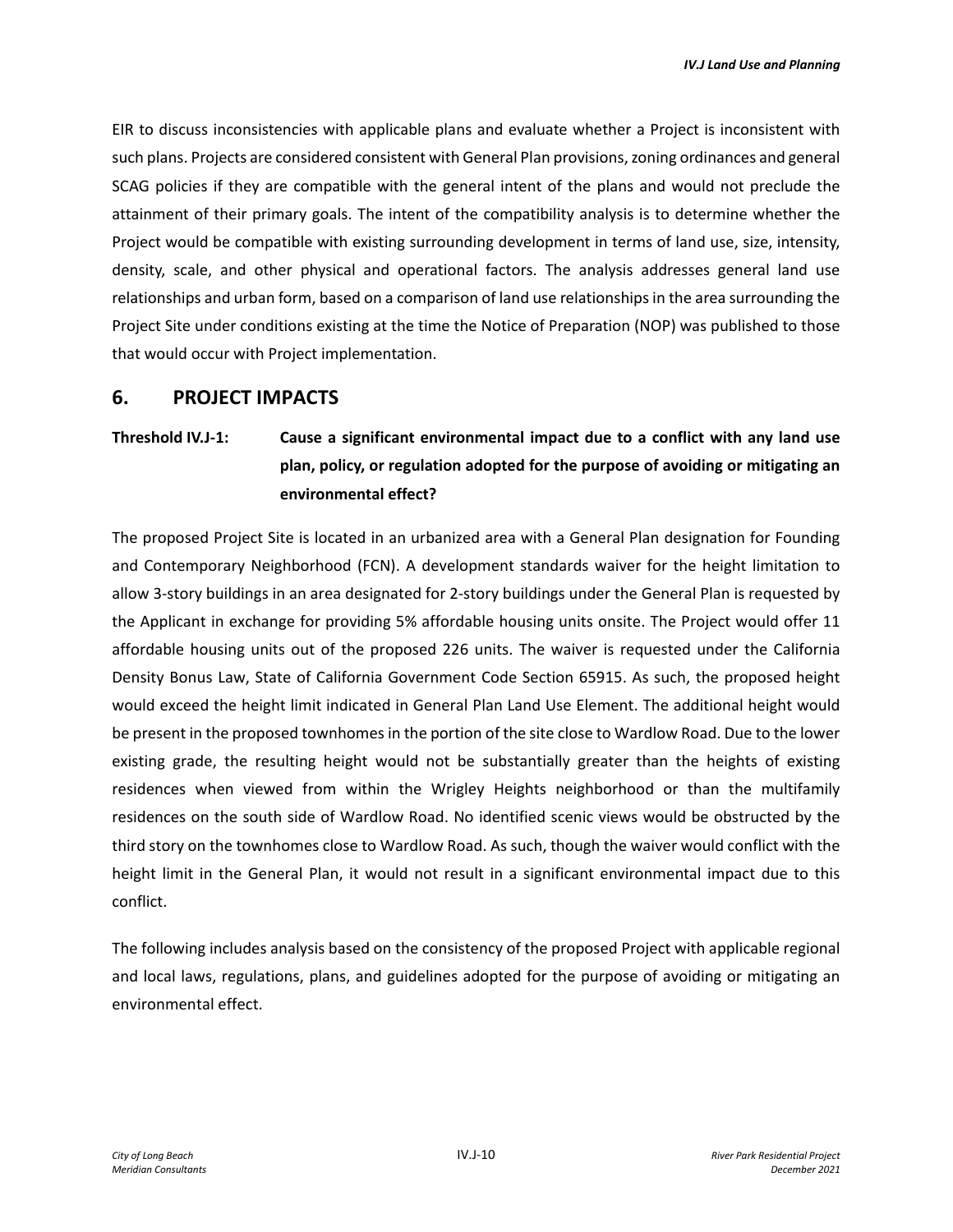EIR to discuss inconsistencies with applicable plans and evaluate whether a Project is inconsistent with such plans. Projects are considered consistent with General Plan provisions, zoning ordinances and general SCAG policies if they are compatible with the general intent of the plans and would not preclude the attainment of their primary goals. The intent of the compatibility analysis is to determine whether the Project would be compatible with existing surrounding development in terms of land use, size, intensity, density, scale, and other physical and operational factors. The analysis addresses general land use relationships and urban form, based on a comparison of land use relationships in the area surrounding the Project Site under conditions existing at the time the Notice of Preparation (NOP) was published to those that would occur with Project implementation.

### **6. PROJECT IMPACTS**

# **Threshold IV.J-1: Cause a significant environmental impact due to a conflict with any land use plan, policy, or regulation adopted for the purpose of avoiding or mitigating an environmental effect?**

The proposed Project Site is located in an urbanized area with a General Plan designation for Founding and Contemporary Neighborhood (FCN). A development standards waiver for the height limitation to allow 3-story buildings in an area designated for 2-story buildings under the General Plan is requested by the Applicant in exchange for providing 5% affordable housing units onsite. The Project would offer 11 affordable housing units out of the proposed 226 units. The waiver is requested under the California Density Bonus Law, State of California Government Code Section 65915. As such, the proposed height would exceed the height limit indicated in General Plan Land Use Element. The additional height would be present in the proposed townhomes in the portion of the site close to Wardlow Road. Due to the lower existing grade, the resulting height would not be substantially greater than the heights of existing residences when viewed from within the Wrigley Heights neighborhood or than the multifamily residences on the south side of Wardlow Road. No identified scenic views would be obstructed by the third story on the townhomes close to Wardlow Road. As such, though the waiver would conflict with the height limit in the General Plan, it would not result in a significant environmental impact due to this conflict.

The following includes analysis based on the consistency of the proposed Project with applicable regional and local laws, regulations, plans, and guidelines adopted for the purpose of avoiding or mitigating an environmental effect.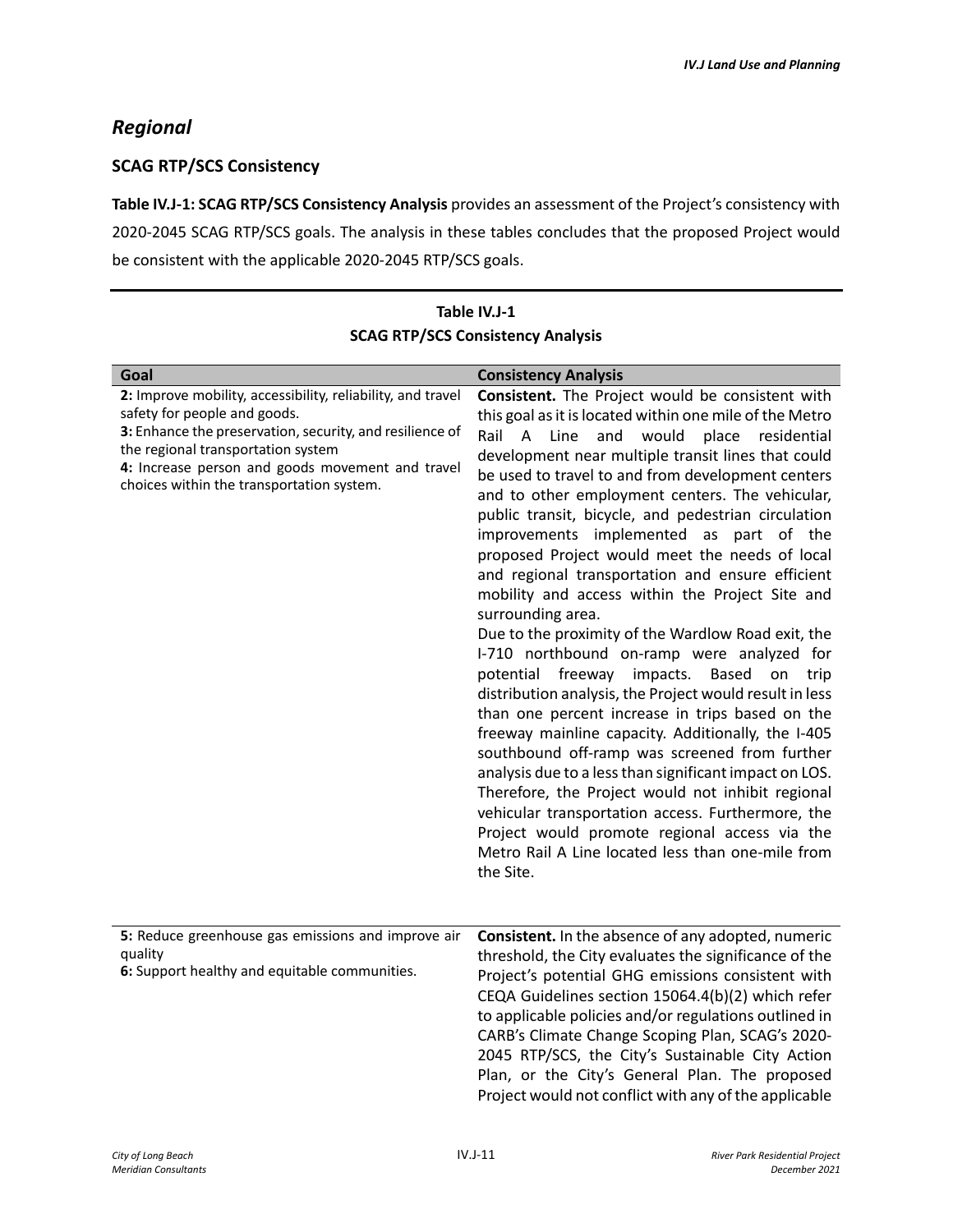# *Regional*

### **SCAG RTP/SCS Consistency**

**Table IV.J-1: SCAG RTP/SCS Consistency Analysis** provides an assessment of the Project's consistency with 2020-2045 SCAG RTP/SCS goals. The analysis in these tables concludes that the proposed Project would be consistent with the applicable 2020-2045 RTP/SCS goals.

| <b>SCAG KTP/SCS CONSISTENCY ANAlySIS</b>                                                                                                                                                                                                                                                       |                                                                                                                                                                                                                                                                                                                                                                                                                                                                                                                                                                                                                                                                                                                                                                                                                                                                                                                                                                                                                                                                                                                                                                                                                                                                           |  |
|------------------------------------------------------------------------------------------------------------------------------------------------------------------------------------------------------------------------------------------------------------------------------------------------|---------------------------------------------------------------------------------------------------------------------------------------------------------------------------------------------------------------------------------------------------------------------------------------------------------------------------------------------------------------------------------------------------------------------------------------------------------------------------------------------------------------------------------------------------------------------------------------------------------------------------------------------------------------------------------------------------------------------------------------------------------------------------------------------------------------------------------------------------------------------------------------------------------------------------------------------------------------------------------------------------------------------------------------------------------------------------------------------------------------------------------------------------------------------------------------------------------------------------------------------------------------------------|--|
| Goal                                                                                                                                                                                                                                                                                           | <b>Consistency Analysis</b>                                                                                                                                                                                                                                                                                                                                                                                                                                                                                                                                                                                                                                                                                                                                                                                                                                                                                                                                                                                                                                                                                                                                                                                                                                               |  |
| 2: Improve mobility, accessibility, reliability, and travel<br>safety for people and goods.<br>3: Enhance the preservation, security, and resilience of<br>the regional transportation system<br>4: Increase person and goods movement and travel<br>choices within the transportation system. | Consistent. The Project would be consistent with<br>this goal as it is located within one mile of the Metro<br>Rail A Line<br>and would<br>place residential<br>development near multiple transit lines that could<br>be used to travel to and from development centers<br>and to other employment centers. The vehicular,<br>public transit, bicycle, and pedestrian circulation<br>improvements implemented as part of the<br>proposed Project would meet the needs of local<br>and regional transportation and ensure efficient<br>mobility and access within the Project Site and<br>surrounding area.<br>Due to the proximity of the Wardlow Road exit, the<br>I-710 northbound on-ramp were analyzed for<br>potential freeway impacts. Based on<br>trip<br>distribution analysis, the Project would result in less<br>than one percent increase in trips based on the<br>freeway mainline capacity. Additionally, the I-405<br>southbound off-ramp was screened from further<br>analysis due to a less than significant impact on LOS.<br>Therefore, the Project would not inhibit regional<br>vehicular transportation access. Furthermore, the<br>Project would promote regional access via the<br>Metro Rail A Line located less than one-mile from<br>the Site. |  |
| 5: Reduce greenhouse gas emissions and improve air<br>quality<br>6: Support healthy and equitable communities.                                                                                                                                                                                 | Consistent. In the absence of any adopted, numeric<br>threshold, the City evaluates the significance of the<br>Project's potential GHG emissions consistent with<br>CEQA Guidelines section 15064.4(b)(2) which refer<br>to applicable policies and/or regulations outlined in<br>CARB's Climate Change Scoping Plan, SCAG's 2020-<br>2045 RTP/SCS, the City's Sustainable City Action<br>Plan, or the City's General Plan. The proposed<br>Project would not conflict with any of the applicable                                                                                                                                                                                                                                                                                                                                                                                                                                                                                                                                                                                                                                                                                                                                                                         |  |

### **Table IV.J-1 SCAG RTP/SCS Consistency Analysis**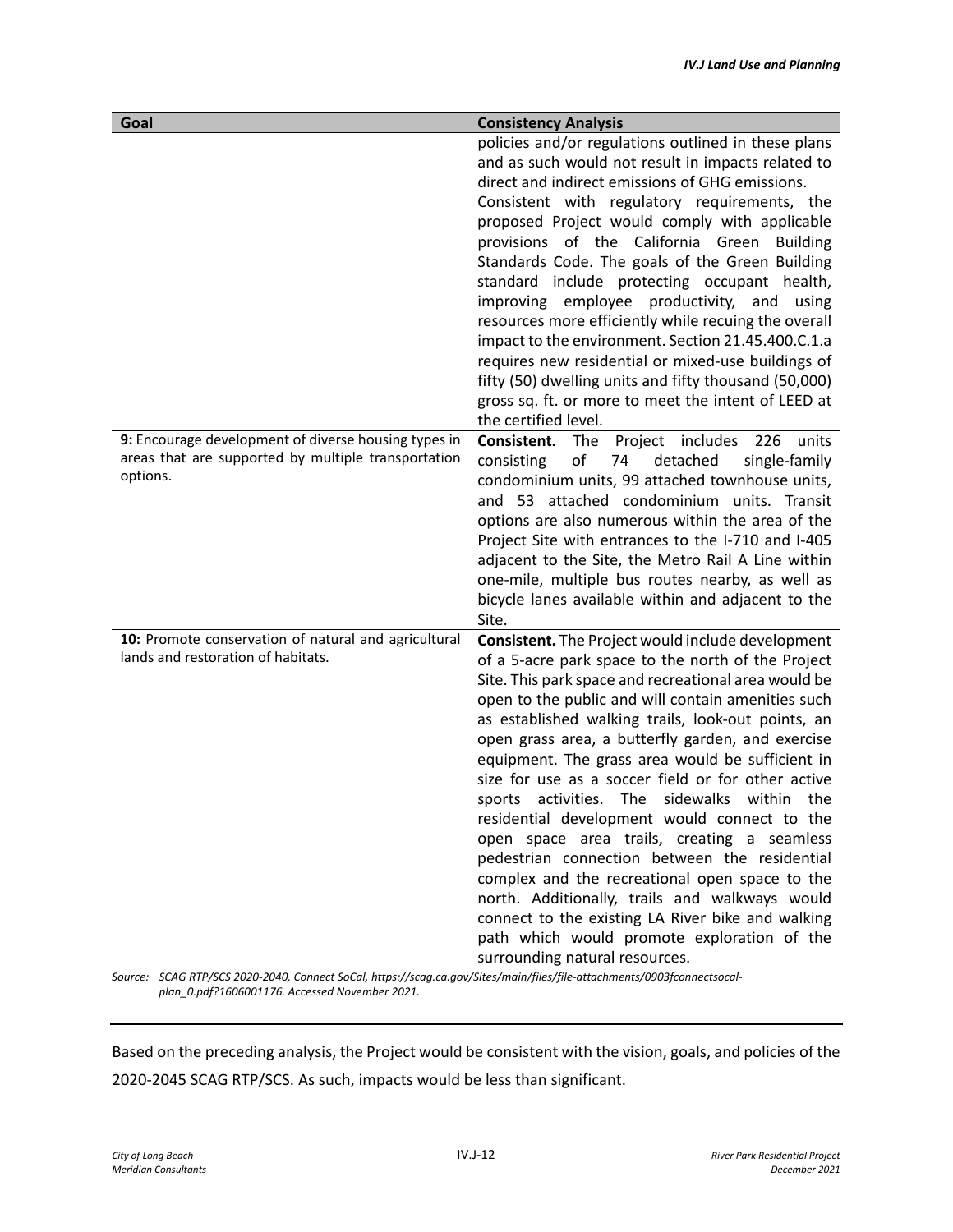| Goal                                                                                                                    | <b>Consistency Analysis</b>                                                                                                                                                                                                                                                                                                                                                                                                                                                                                                                                                                                                                                                                                                                                                                                                                                                                   |
|-------------------------------------------------------------------------------------------------------------------------|-----------------------------------------------------------------------------------------------------------------------------------------------------------------------------------------------------------------------------------------------------------------------------------------------------------------------------------------------------------------------------------------------------------------------------------------------------------------------------------------------------------------------------------------------------------------------------------------------------------------------------------------------------------------------------------------------------------------------------------------------------------------------------------------------------------------------------------------------------------------------------------------------|
|                                                                                                                         | policies and/or regulations outlined in these plans<br>and as such would not result in impacts related to<br>direct and indirect emissions of GHG emissions.<br>Consistent with regulatory requirements, the<br>proposed Project would comply with applicable<br>provisions of the California Green Building<br>Standards Code. The goals of the Green Building<br>standard include protecting occupant health,<br>improving employee productivity,<br>and<br>using<br>resources more efficiently while recuing the overall<br>impact to the environment. Section 21.45.400.C.1.a<br>requires new residential or mixed-use buildings of<br>fifty (50) dwelling units and fifty thousand (50,000)<br>gross sq. ft. or more to meet the intent of LEED at<br>the certified level.                                                                                                               |
| 9: Encourage development of diverse housing types in<br>areas that are supported by multiple transportation<br>options. | Consistent.<br><b>The</b><br>Project includes<br>226<br>units<br>of<br>74<br>detached<br>single-family<br>consisting<br>condominium units, 99 attached townhouse units,<br>and 53 attached condominium units. Transit<br>options are also numerous within the area of the<br>Project Site with entrances to the I-710 and I-405<br>adjacent to the Site, the Metro Rail A Line within<br>one-mile, multiple bus routes nearby, as well as<br>bicycle lanes available within and adjacent to the<br>Site.                                                                                                                                                                                                                                                                                                                                                                                      |
| 10: Promote conservation of natural and agricultural<br>lands and restoration of habitats.                              | <b>Consistent.</b> The Project would include development<br>of a 5-acre park space to the north of the Project<br>Site. This park space and recreational area would be<br>open to the public and will contain amenities such<br>as established walking trails, look-out points, an<br>open grass area, a butterfly garden, and exercise<br>equipment. The grass area would be sufficient in<br>size for use as a soccer field or for other active<br>activities. The sidewalks within the<br>sports<br>residential development would connect to the<br>open space area trails, creating a seamless<br>pedestrian connection between the residential<br>complex and the recreational open space to the<br>north. Additionally, trails and walkways would<br>connect to the existing LA River bike and walking<br>path which would promote exploration of the<br>surrounding natural resources. |
| Source: SCAG RTP/SCS 2020-2040, Connect SoCal, https://scag.ca.gov/Sites/main/files/file-attachments/0903fconnectsocal- |                                                                                                                                                                                                                                                                                                                                                                                                                                                                                                                                                                                                                                                                                                                                                                                                                                                                                               |

*plan\_0.pdf?1606001176. Accessed November 2021.* 

Based on the preceding analysis, the Project would be consistent with the vision, goals, and policies of the 2020-2045 SCAG RTP/SCS. As such, impacts would be less than significant.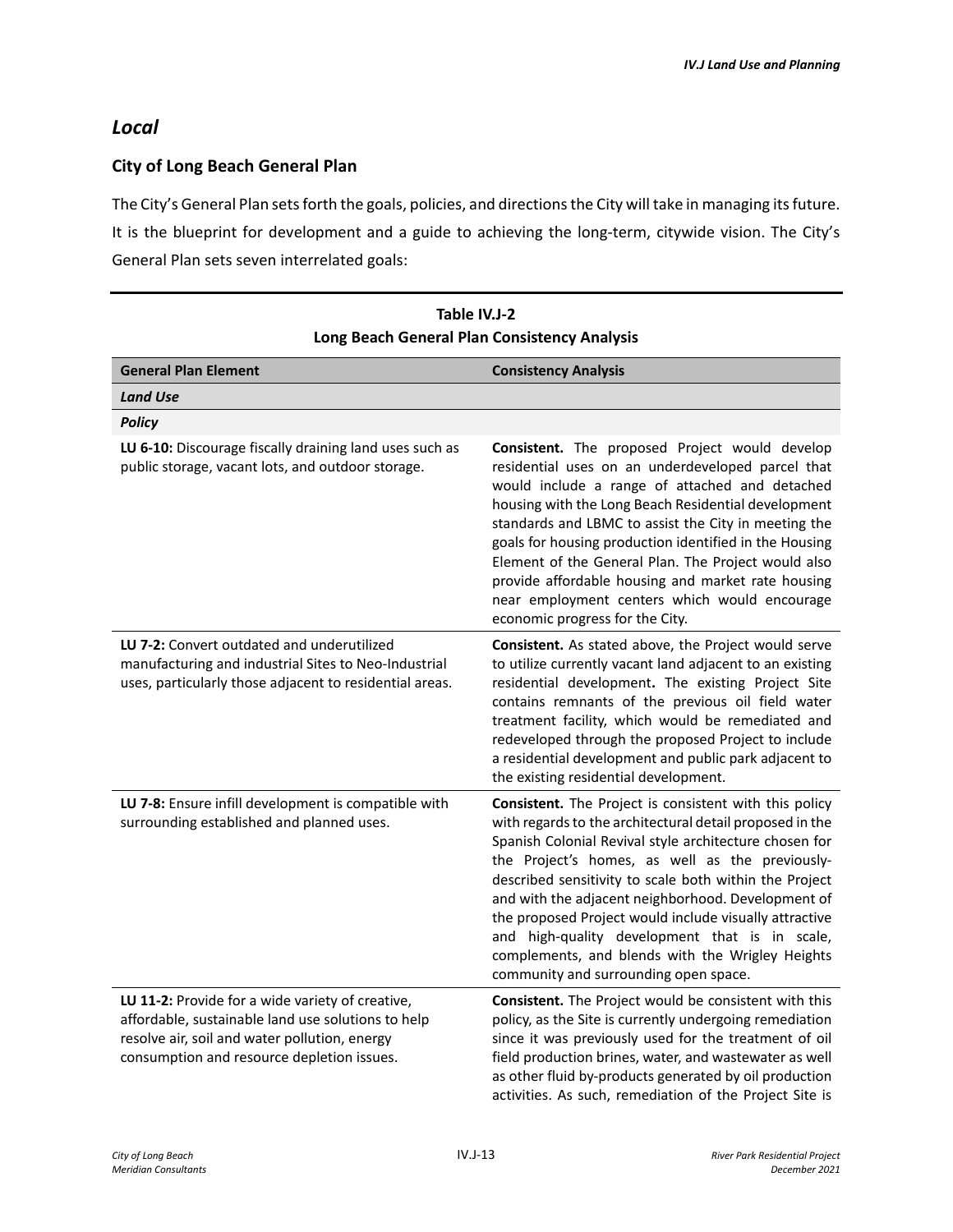## *Local*

### **City of Long Beach General Plan**

The City's General Plan sets forth the goals, policies, and directions the City will take in managing its future. It is the blueprint for development and a guide to achieving the long-term, citywide vision. The City's General Plan sets seven interrelated goals:

| Long beach General Flan Consistency Analysis                                                                                                                                                          |                                                                                                                                                                                                                                                                                                                                                                                                                                                                                                                                                          |  |
|-------------------------------------------------------------------------------------------------------------------------------------------------------------------------------------------------------|----------------------------------------------------------------------------------------------------------------------------------------------------------------------------------------------------------------------------------------------------------------------------------------------------------------------------------------------------------------------------------------------------------------------------------------------------------------------------------------------------------------------------------------------------------|--|
| <b>General Plan Element</b>                                                                                                                                                                           | <b>Consistency Analysis</b>                                                                                                                                                                                                                                                                                                                                                                                                                                                                                                                              |  |
| <b>Land Use</b>                                                                                                                                                                                       |                                                                                                                                                                                                                                                                                                                                                                                                                                                                                                                                                          |  |
| <b>Policy</b>                                                                                                                                                                                         |                                                                                                                                                                                                                                                                                                                                                                                                                                                                                                                                                          |  |
| LU 6-10: Discourage fiscally draining land uses such as<br>public storage, vacant lots, and outdoor storage.                                                                                          | Consistent. The proposed Project would develop<br>residential uses on an underdeveloped parcel that<br>would include a range of attached and detached<br>housing with the Long Beach Residential development<br>standards and LBMC to assist the City in meeting the<br>goals for housing production identified in the Housing<br>Element of the General Plan. The Project would also<br>provide affordable housing and market rate housing<br>near employment centers which would encourage<br>economic progress for the City.                          |  |
| LU 7-2: Convert outdated and underutilized<br>manufacturing and industrial Sites to Neo-Industrial<br>uses, particularly those adjacent to residential areas.                                         | <b>Consistent.</b> As stated above, the Project would serve<br>to utilize currently vacant land adjacent to an existing<br>residential development. The existing Project Site<br>contains remnants of the previous oil field water<br>treatment facility, which would be remediated and<br>redeveloped through the proposed Project to include<br>a residential development and public park adjacent to<br>the existing residential development.                                                                                                         |  |
| LU 7-8: Ensure infill development is compatible with<br>surrounding established and planned uses.                                                                                                     | Consistent. The Project is consistent with this policy<br>with regards to the architectural detail proposed in the<br>Spanish Colonial Revival style architecture chosen for<br>the Project's homes, as well as the previously-<br>described sensitivity to scale both within the Project<br>and with the adjacent neighborhood. Development of<br>the proposed Project would include visually attractive<br>and high-quality development that is in scale,<br>complements, and blends with the Wrigley Heights<br>community and surrounding open space. |  |
| LU 11-2: Provide for a wide variety of creative,<br>affordable, sustainable land use solutions to help<br>resolve air, soil and water pollution, energy<br>consumption and resource depletion issues. | Consistent. The Project would be consistent with this<br>policy, as the Site is currently undergoing remediation<br>since it was previously used for the treatment of oil<br>field production brines, water, and wastewater as well<br>as other fluid by-products generated by oil production<br>activities. As such, remediation of the Project Site is                                                                                                                                                                                                 |  |

| Table IV.J-2                                 |
|----------------------------------------------|
| Long Beach General Plan Consistency Analysis |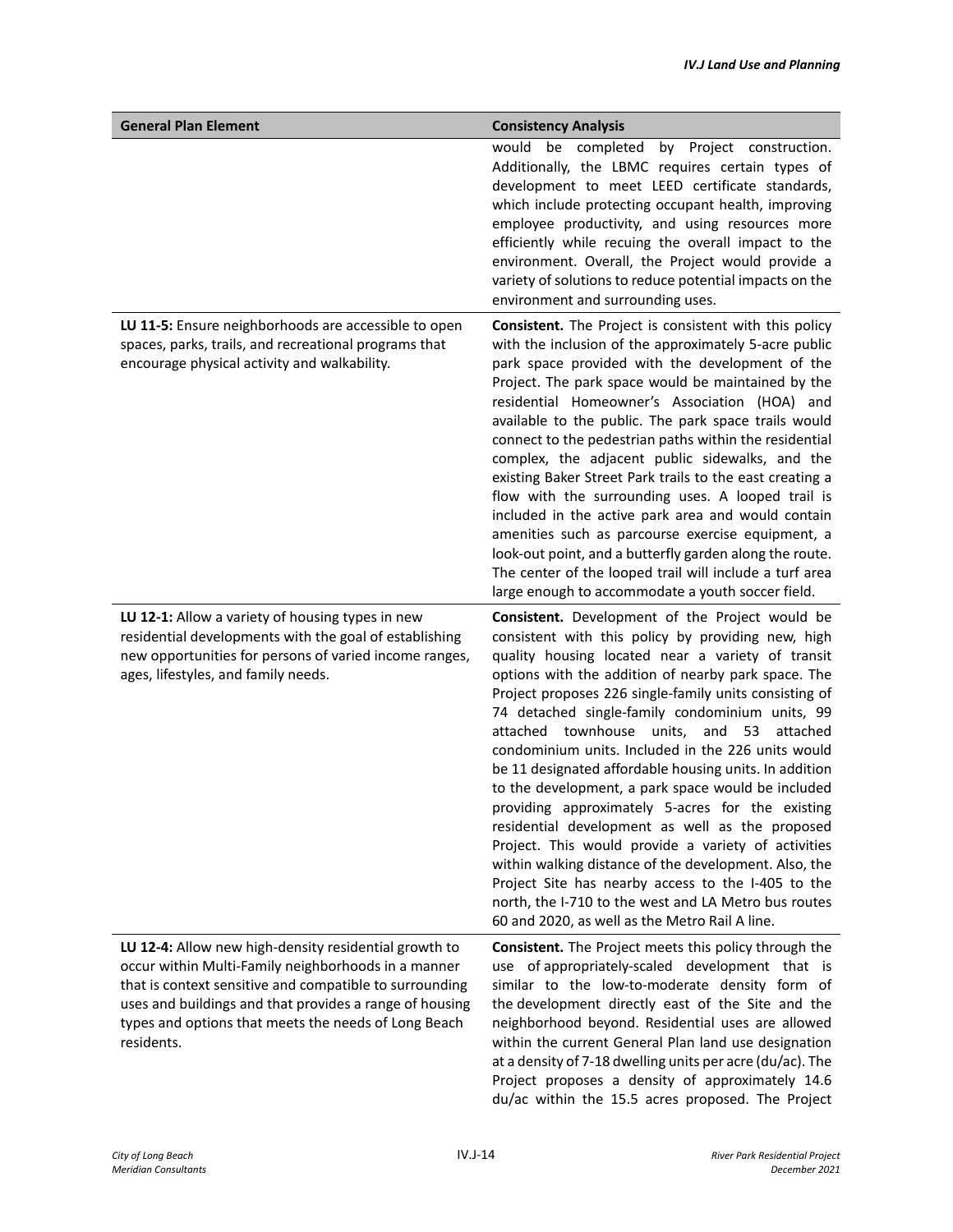| <b>General Plan Element</b>                                                                                                                                                                                                                                                                              | <b>Consistency Analysis</b>                                                                                                                                                                                                                                                                                                                                                                                                                                                                                                                                                                                                                                                                                                                                                                                                                                                                                                                       |
|----------------------------------------------------------------------------------------------------------------------------------------------------------------------------------------------------------------------------------------------------------------------------------------------------------|---------------------------------------------------------------------------------------------------------------------------------------------------------------------------------------------------------------------------------------------------------------------------------------------------------------------------------------------------------------------------------------------------------------------------------------------------------------------------------------------------------------------------------------------------------------------------------------------------------------------------------------------------------------------------------------------------------------------------------------------------------------------------------------------------------------------------------------------------------------------------------------------------------------------------------------------------|
|                                                                                                                                                                                                                                                                                                          | would be completed by Project construction.<br>Additionally, the LBMC requires certain types of<br>development to meet LEED certificate standards,<br>which include protecting occupant health, improving<br>employee productivity, and using resources more<br>efficiently while recuing the overall impact to the<br>environment. Overall, the Project would provide a<br>variety of solutions to reduce potential impacts on the<br>environment and surrounding uses.                                                                                                                                                                                                                                                                                                                                                                                                                                                                          |
| LU 11-5: Ensure neighborhoods are accessible to open<br>spaces, parks, trails, and recreational programs that<br>encourage physical activity and walkability.                                                                                                                                            | Consistent. The Project is consistent with this policy<br>with the inclusion of the approximately 5-acre public<br>park space provided with the development of the<br>Project. The park space would be maintained by the<br>residential Homeowner's Association (HOA) and<br>available to the public. The park space trails would<br>connect to the pedestrian paths within the residential<br>complex, the adjacent public sidewalks, and the<br>existing Baker Street Park trails to the east creating a<br>flow with the surrounding uses. A looped trail is<br>included in the active park area and would contain<br>amenities such as parcourse exercise equipment, a<br>look-out point, and a butterfly garden along the route.<br>The center of the looped trail will include a turf area<br>large enough to accommodate a youth soccer field.                                                                                             |
| LU 12-1: Allow a variety of housing types in new<br>residential developments with the goal of establishing<br>new opportunities for persons of varied income ranges,<br>ages, lifestyles, and family needs.                                                                                              | Consistent. Development of the Project would be<br>consistent with this policy by providing new, high<br>quality housing located near a variety of transit<br>options with the addition of nearby park space. The<br>Project proposes 226 single-family units consisting of<br>74 detached single-family condominium units, 99<br>attached townhouse units,<br>and<br>53<br>attached<br>condominium units. Included in the 226 units would<br>be 11 designated affordable housing units. In addition<br>to the development, a park space would be included<br>providing approximately 5-acres for the existing<br>residential development as well as the proposed<br>Project. This would provide a variety of activities<br>within walking distance of the development. Also, the<br>Project Site has nearby access to the I-405 to the<br>north, the I-710 to the west and LA Metro bus routes<br>60 and 2020, as well as the Metro Rail A line. |
| LU 12-4: Allow new high-density residential growth to<br>occur within Multi-Family neighborhoods in a manner<br>that is context sensitive and compatible to surrounding<br>uses and buildings and that provides a range of housing<br>types and options that meets the needs of Long Beach<br>residents. | Consistent. The Project meets this policy through the<br>use of appropriately-scaled development that is<br>similar to the low-to-moderate density form of<br>the development directly east of the Site and the<br>neighborhood beyond. Residential uses are allowed<br>within the current General Plan land use designation<br>at a density of 7-18 dwelling units per acre (du/ac). The<br>Project proposes a density of approximately 14.6<br>du/ac within the 15.5 acres proposed. The Project                                                                                                                                                                                                                                                                                                                                                                                                                                                |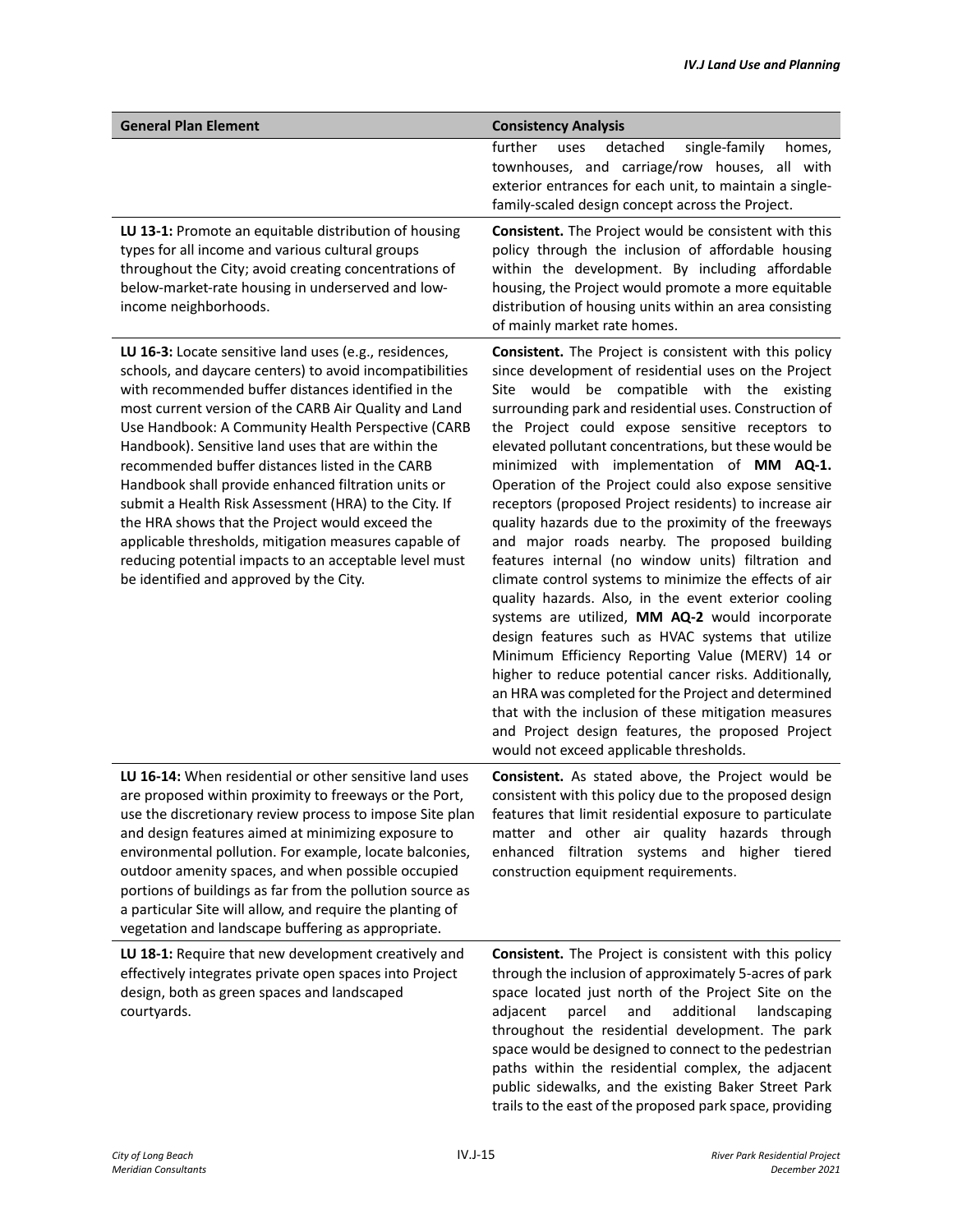| <b>General Plan Element</b>                                                                                                                                                                                                                                                                                                                                                                                                                                                                                                                                                                                                                                                                                                        | <b>Consistency Analysis</b>                                                                                                                                                                                                                                                                                                                                                                                                                                                                                                                                                                                                                                                                                                                                                                                                                                                                                                                                                                                                                                                                                                                                                                                            |
|------------------------------------------------------------------------------------------------------------------------------------------------------------------------------------------------------------------------------------------------------------------------------------------------------------------------------------------------------------------------------------------------------------------------------------------------------------------------------------------------------------------------------------------------------------------------------------------------------------------------------------------------------------------------------------------------------------------------------------|------------------------------------------------------------------------------------------------------------------------------------------------------------------------------------------------------------------------------------------------------------------------------------------------------------------------------------------------------------------------------------------------------------------------------------------------------------------------------------------------------------------------------------------------------------------------------------------------------------------------------------------------------------------------------------------------------------------------------------------------------------------------------------------------------------------------------------------------------------------------------------------------------------------------------------------------------------------------------------------------------------------------------------------------------------------------------------------------------------------------------------------------------------------------------------------------------------------------|
|                                                                                                                                                                                                                                                                                                                                                                                                                                                                                                                                                                                                                                                                                                                                    | further<br>detached<br>single-family<br>uses<br>homes,<br>townhouses, and carriage/row houses, all with<br>exterior entrances for each unit, to maintain a single-<br>family-scaled design concept across the Project.                                                                                                                                                                                                                                                                                                                                                                                                                                                                                                                                                                                                                                                                                                                                                                                                                                                                                                                                                                                                 |
| LU 13-1: Promote an equitable distribution of housing<br>types for all income and various cultural groups<br>throughout the City; avoid creating concentrations of<br>below-market-rate housing in underserved and low-<br>income neighborhoods.                                                                                                                                                                                                                                                                                                                                                                                                                                                                                   | Consistent. The Project would be consistent with this<br>policy through the inclusion of affordable housing<br>within the development. By including affordable<br>housing, the Project would promote a more equitable<br>distribution of housing units within an area consisting<br>of mainly market rate homes.                                                                                                                                                                                                                                                                                                                                                                                                                                                                                                                                                                                                                                                                                                                                                                                                                                                                                                       |
| LU 16-3: Locate sensitive land uses (e.g., residences,<br>schools, and daycare centers) to avoid incompatibilities<br>with recommended buffer distances identified in the<br>most current version of the CARB Air Quality and Land<br>Use Handbook: A Community Health Perspective (CARB<br>Handbook). Sensitive land uses that are within the<br>recommended buffer distances listed in the CARB<br>Handbook shall provide enhanced filtration units or<br>submit a Health Risk Assessment (HRA) to the City. If<br>the HRA shows that the Project would exceed the<br>applicable thresholds, mitigation measures capable of<br>reducing potential impacts to an acceptable level must<br>be identified and approved by the City. | Consistent. The Project is consistent with this policy<br>since development of residential uses on the Project<br>Site would be compatible with the existing<br>surrounding park and residential uses. Construction of<br>the Project could expose sensitive receptors to<br>elevated pollutant concentrations, but these would be<br>minimized with implementation of MM AQ-1.<br>Operation of the Project could also expose sensitive<br>receptors (proposed Project residents) to increase air<br>quality hazards due to the proximity of the freeways<br>and major roads nearby. The proposed building<br>features internal (no window units) filtration and<br>climate control systems to minimize the effects of air<br>quality hazards. Also, in the event exterior cooling<br>systems are utilized, MM AQ-2 would incorporate<br>design features such as HVAC systems that utilize<br>Minimum Efficiency Reporting Value (MERV) 14 or<br>higher to reduce potential cancer risks. Additionally,<br>an HRA was completed for the Project and determined<br>that with the inclusion of these mitigation measures<br>and Project design features, the proposed Project<br>would not exceed applicable thresholds. |
| LU 16-14: When residential or other sensitive land uses<br>are proposed within proximity to freeways or the Port,<br>use the discretionary review process to impose Site plan<br>and design features aimed at minimizing exposure to<br>environmental pollution. For example, locate balconies,<br>outdoor amenity spaces, and when possible occupied<br>portions of buildings as far from the pollution source as<br>a particular Site will allow, and require the planting of<br>vegetation and landscape buffering as appropriate.                                                                                                                                                                                              | Consistent. As stated above, the Project would be<br>consistent with this policy due to the proposed design<br>features that limit residential exposure to particulate<br>matter and other air quality hazards through<br>enhanced filtration systems and higher tiered<br>construction equipment requirements.                                                                                                                                                                                                                                                                                                                                                                                                                                                                                                                                                                                                                                                                                                                                                                                                                                                                                                        |
| LU 18-1: Require that new development creatively and<br>effectively integrates private open spaces into Project<br>design, both as green spaces and landscaped<br>courtyards.                                                                                                                                                                                                                                                                                                                                                                                                                                                                                                                                                      | <b>Consistent.</b> The Project is consistent with this policy<br>through the inclusion of approximately 5-acres of park<br>space located just north of the Project Site on the<br>additional<br>adjacent<br>parcel<br>and<br>landscaping<br>throughout the residential development. The park<br>space would be designed to connect to the pedestrian<br>paths within the residential complex, the adjacent<br>public sidewalks, and the existing Baker Street Park<br>trails to the east of the proposed park space, providing                                                                                                                                                                                                                                                                                                                                                                                                                                                                                                                                                                                                                                                                                         |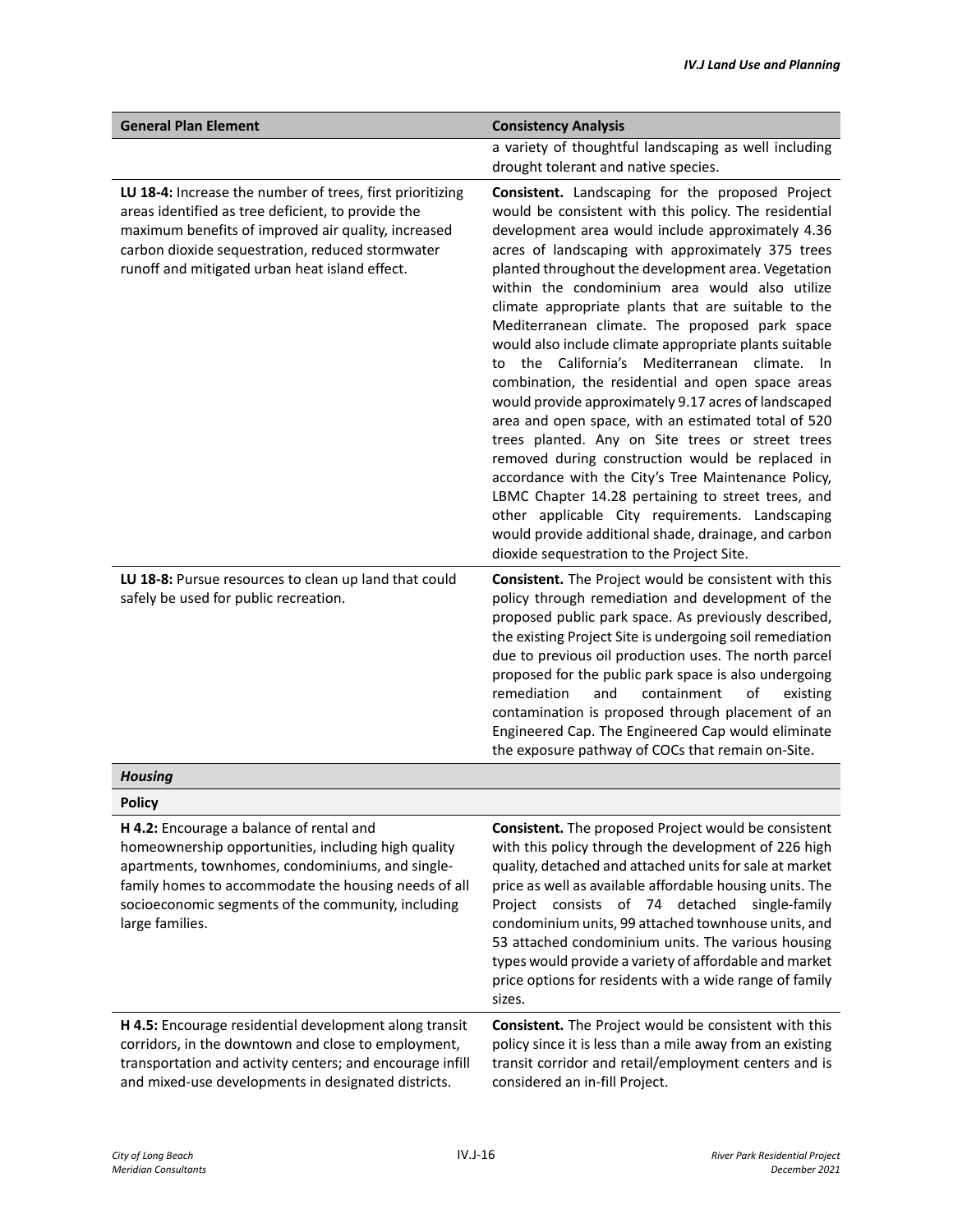| <b>General Plan Element</b>                                                                                                                                                                                                                                                          | <b>Consistency Analysis</b>                                                                                                                                                                                                                                                                                                                                                                                                                                                                                                                                                                                                                                                                                                                                                                                                                                                                                                                                                                                                                                                                             |
|--------------------------------------------------------------------------------------------------------------------------------------------------------------------------------------------------------------------------------------------------------------------------------------|---------------------------------------------------------------------------------------------------------------------------------------------------------------------------------------------------------------------------------------------------------------------------------------------------------------------------------------------------------------------------------------------------------------------------------------------------------------------------------------------------------------------------------------------------------------------------------------------------------------------------------------------------------------------------------------------------------------------------------------------------------------------------------------------------------------------------------------------------------------------------------------------------------------------------------------------------------------------------------------------------------------------------------------------------------------------------------------------------------|
|                                                                                                                                                                                                                                                                                      | a variety of thoughtful landscaping as well including<br>drought tolerant and native species.                                                                                                                                                                                                                                                                                                                                                                                                                                                                                                                                                                                                                                                                                                                                                                                                                                                                                                                                                                                                           |
| LU 18-4: Increase the number of trees, first prioritizing<br>areas identified as tree deficient, to provide the<br>maximum benefits of improved air quality, increased<br>carbon dioxide sequestration, reduced stormwater<br>runoff and mitigated urban heat island effect.         | Consistent. Landscaping for the proposed Project<br>would be consistent with this policy. The residential<br>development area would include approximately 4.36<br>acres of landscaping with approximately 375 trees<br>planted throughout the development area. Vegetation<br>within the condominium area would also utilize<br>climate appropriate plants that are suitable to the<br>Mediterranean climate. The proposed park space<br>would also include climate appropriate plants suitable<br>to the California's Mediterranean climate.<br>- In<br>combination, the residential and open space areas<br>would provide approximately 9.17 acres of landscaped<br>area and open space, with an estimated total of 520<br>trees planted. Any on Site trees or street trees<br>removed during construction would be replaced in<br>accordance with the City's Tree Maintenance Policy,<br>LBMC Chapter 14.28 pertaining to street trees, and<br>other applicable City requirements. Landscaping<br>would provide additional shade, drainage, and carbon<br>dioxide sequestration to the Project Site. |
| LU 18-8: Pursue resources to clean up land that could<br>safely be used for public recreation.                                                                                                                                                                                       | <b>Consistent.</b> The Project would be consistent with this<br>policy through remediation and development of the<br>proposed public park space. As previously described,<br>the existing Project Site is undergoing soil remediation<br>due to previous oil production uses. The north parcel<br>proposed for the public park space is also undergoing<br>remediation<br>and<br>containment<br>of<br>existing<br>contamination is proposed through placement of an<br>Engineered Cap. The Engineered Cap would eliminate<br>the exposure pathway of COCs that remain on-Site.                                                                                                                                                                                                                                                                                                                                                                                                                                                                                                                          |
| <b>Housing</b>                                                                                                                                                                                                                                                                       |                                                                                                                                                                                                                                                                                                                                                                                                                                                                                                                                                                                                                                                                                                                                                                                                                                                                                                                                                                                                                                                                                                         |
| <b>Policy</b>                                                                                                                                                                                                                                                                        |                                                                                                                                                                                                                                                                                                                                                                                                                                                                                                                                                                                                                                                                                                                                                                                                                                                                                                                                                                                                                                                                                                         |
| H 4.2: Encourage a balance of rental and<br>homeownership opportunities, including high quality<br>apartments, townhomes, condominiums, and single-<br>family homes to accommodate the housing needs of all<br>socioeconomic segments of the community, including<br>large families. | <b>Consistent.</b> The proposed Project would be consistent<br>with this policy through the development of 226 high<br>quality, detached and attached units for sale at market<br>price as well as available affordable housing units. The<br>Project consists of 74 detached<br>single-family<br>condominium units, 99 attached townhouse units, and<br>53 attached condominium units. The various housing<br>types would provide a variety of affordable and market<br>price options for residents with a wide range of family<br>sizes.                                                                                                                                                                                                                                                                                                                                                                                                                                                                                                                                                              |
| H 4.5: Encourage residential development along transit<br>corridors, in the downtown and close to employment,<br>transportation and activity centers; and encourage infill<br>and mixed-use developments in designated districts.                                                    | Consistent. The Project would be consistent with this<br>policy since it is less than a mile away from an existing<br>transit corridor and retail/employment centers and is<br>considered an in-fill Project.                                                                                                                                                                                                                                                                                                                                                                                                                                                                                                                                                                                                                                                                                                                                                                                                                                                                                           |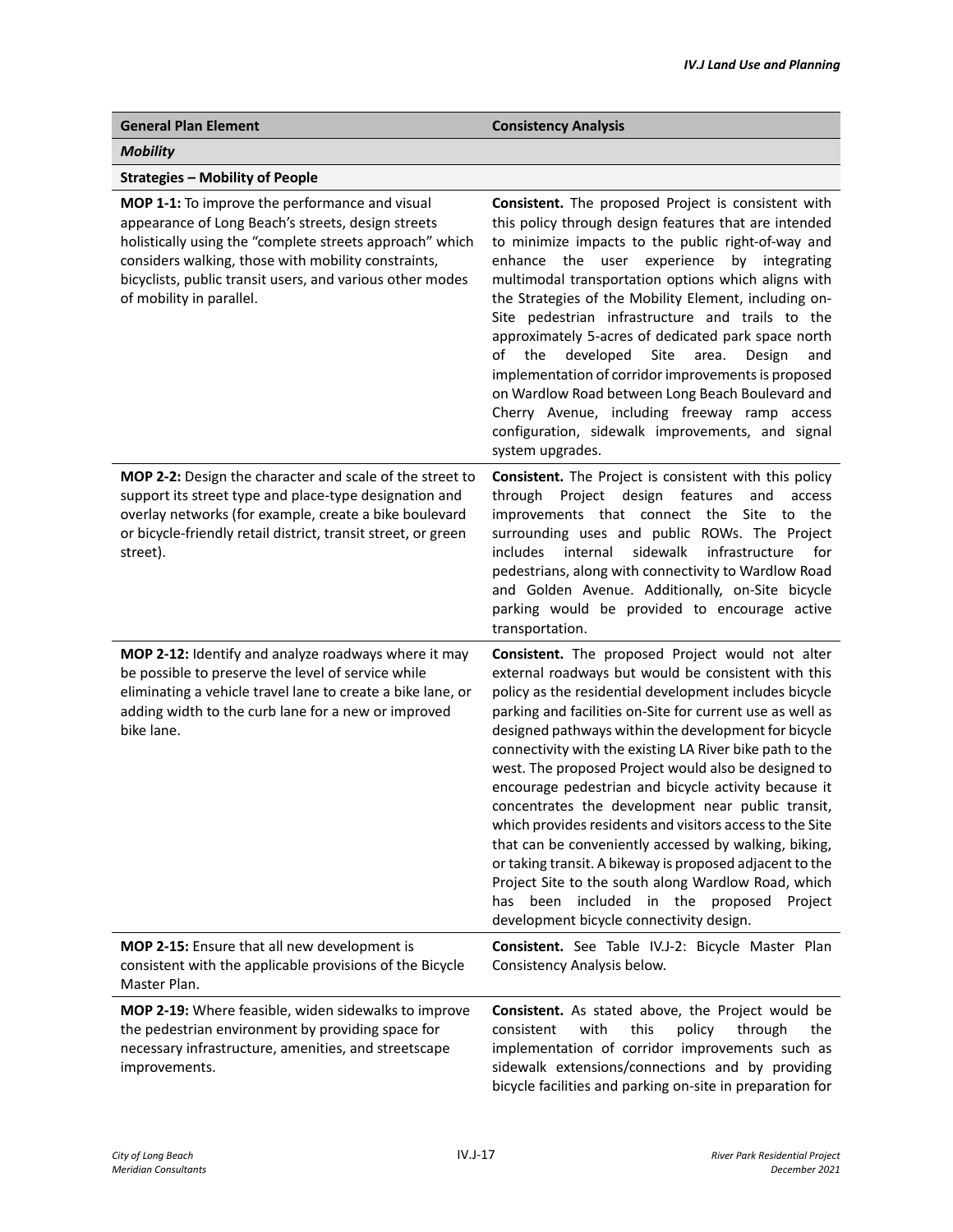| <b>General Plan Element</b>                                                                                                                                                                                                                                                                                      | <b>Consistency Analysis</b>                                                                                                                                                                                                                                                                                                                                                                                                                                                                                                                                                                                                                                                                                                                                                                                                                              |
|------------------------------------------------------------------------------------------------------------------------------------------------------------------------------------------------------------------------------------------------------------------------------------------------------------------|----------------------------------------------------------------------------------------------------------------------------------------------------------------------------------------------------------------------------------------------------------------------------------------------------------------------------------------------------------------------------------------------------------------------------------------------------------------------------------------------------------------------------------------------------------------------------------------------------------------------------------------------------------------------------------------------------------------------------------------------------------------------------------------------------------------------------------------------------------|
| <b>Mobility</b>                                                                                                                                                                                                                                                                                                  |                                                                                                                                                                                                                                                                                                                                                                                                                                                                                                                                                                                                                                                                                                                                                                                                                                                          |
| <b>Strategies - Mobility of People</b>                                                                                                                                                                                                                                                                           |                                                                                                                                                                                                                                                                                                                                                                                                                                                                                                                                                                                                                                                                                                                                                                                                                                                          |
| MOP 1-1: To improve the performance and visual<br>appearance of Long Beach's streets, design streets<br>holistically using the "complete streets approach" which<br>considers walking, those with mobility constraints,<br>bicyclists, public transit users, and various other modes<br>of mobility in parallel. | Consistent. The proposed Project is consistent with<br>this policy through design features that are intended<br>to minimize impacts to the public right-of-way and<br>enhance the user experience<br>by integrating<br>multimodal transportation options which aligns with<br>the Strategies of the Mobility Element, including on-<br>Site pedestrian infrastructure and trails to the<br>approximately 5-acres of dedicated park space north<br>developed<br>of<br>the<br>Site<br>Design<br>area.<br>and<br>implementation of corridor improvements is proposed<br>on Wardlow Road between Long Beach Boulevard and<br>Cherry Avenue, including freeway ramp access<br>configuration, sidewalk improvements, and signal<br>system upgrades.                                                                                                            |
| MOP 2-2: Design the character and scale of the street to<br>support its street type and place-type designation and<br>overlay networks (for example, create a bike boulevard<br>or bicycle-friendly retail district, transit street, or green<br>street).                                                        | <b>Consistent.</b> The Project is consistent with this policy<br>through Project design<br>features<br>and<br>access<br>improvements that connect the Site to the<br>surrounding uses and public ROWs. The Project<br><i>includes</i><br>internal<br>sidewalk<br>infrastructure<br>for<br>pedestrians, along with connectivity to Wardlow Road<br>and Golden Avenue. Additionally, on-Site bicycle<br>parking would be provided to encourage active<br>transportation.                                                                                                                                                                                                                                                                                                                                                                                   |
| MOP 2-12: Identify and analyze roadways where it may<br>be possible to preserve the level of service while<br>eliminating a vehicle travel lane to create a bike lane, or<br>adding width to the curb lane for a new or improved<br>bike lane.                                                                   | Consistent. The proposed Project would not alter<br>external roadways but would be consistent with this<br>policy as the residential development includes bicycle<br>parking and facilities on-Site for current use as well as<br>designed pathways within the development for bicycle<br>connectivity with the existing LA River bike path to the<br>west. The proposed Project would also be designed to<br>encourage pedestrian and bicycle activity because it<br>concentrates the development near public transit,<br>which provides residents and visitors access to the Site<br>that can be conveniently accessed by walking, biking,<br>or taking transit. A bikeway is proposed adjacent to the<br>Project Site to the south along Wardlow Road, which<br>has been included in the proposed Project<br>development bicycle connectivity design. |
| MOP 2-15: Ensure that all new development is<br>consistent with the applicable provisions of the Bicycle<br>Master Plan.                                                                                                                                                                                         | Consistent. See Table IV.J-2: Bicycle Master Plan<br>Consistency Analysis below.                                                                                                                                                                                                                                                                                                                                                                                                                                                                                                                                                                                                                                                                                                                                                                         |
| MOP 2-19: Where feasible, widen sidewalks to improve<br>the pedestrian environment by providing space for<br>necessary infrastructure, amenities, and streetscape<br>improvements.                                                                                                                               | Consistent. As stated above, the Project would be<br>consistent<br>with<br>this<br>policy<br>through<br>the<br>implementation of corridor improvements such as<br>sidewalk extensions/connections and by providing<br>bicycle facilities and parking on-site in preparation for                                                                                                                                                                                                                                                                                                                                                                                                                                                                                                                                                                          |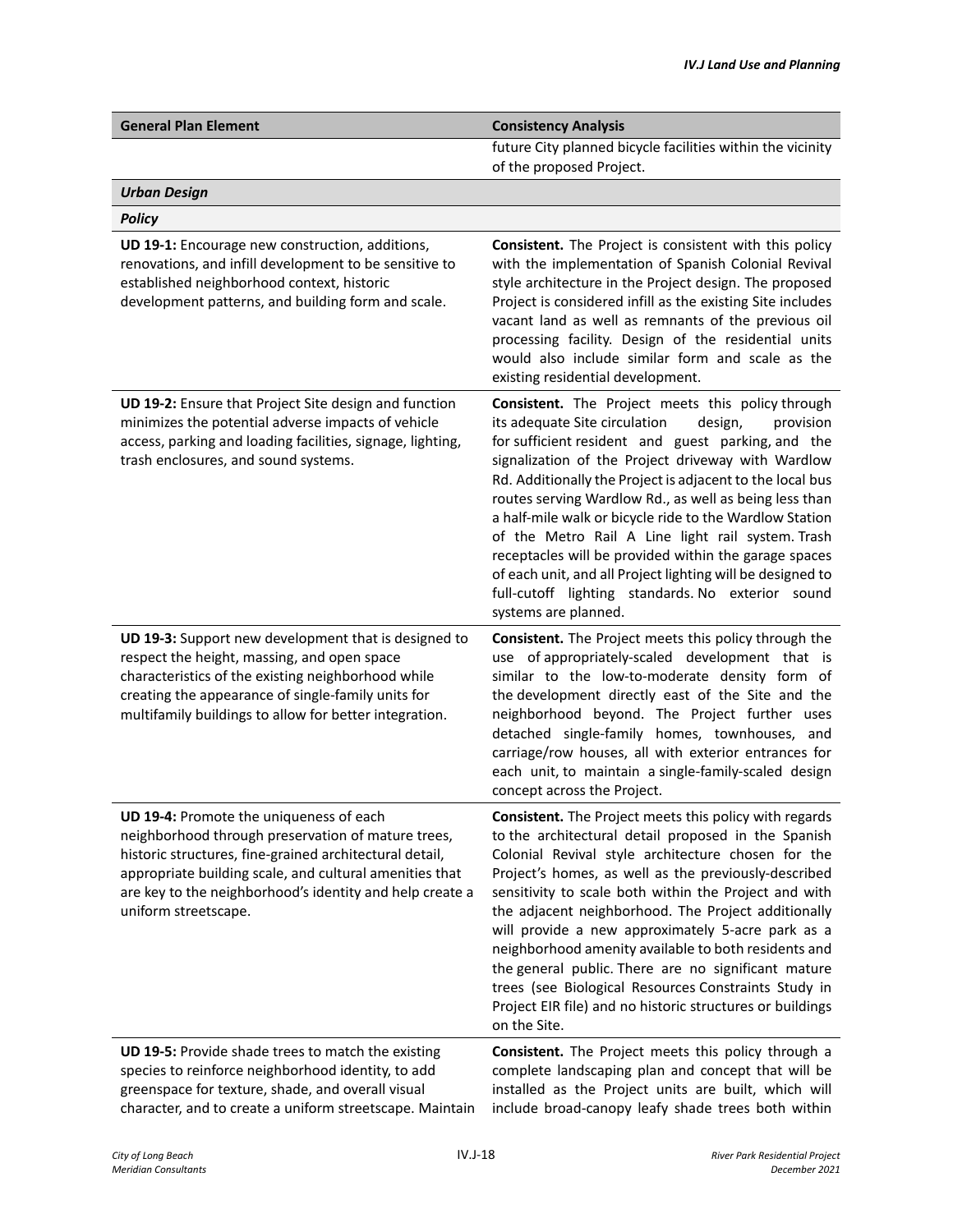| <b>General Plan Element</b>                                                                                                                                                                                                                                                                             | <b>Consistency Analysis</b>                                                                                                                                                                                                                                                                                                                                                                                                                                                                                                                                                                                                                                       |
|---------------------------------------------------------------------------------------------------------------------------------------------------------------------------------------------------------------------------------------------------------------------------------------------------------|-------------------------------------------------------------------------------------------------------------------------------------------------------------------------------------------------------------------------------------------------------------------------------------------------------------------------------------------------------------------------------------------------------------------------------------------------------------------------------------------------------------------------------------------------------------------------------------------------------------------------------------------------------------------|
|                                                                                                                                                                                                                                                                                                         | future City planned bicycle facilities within the vicinity<br>of the proposed Project.                                                                                                                                                                                                                                                                                                                                                                                                                                                                                                                                                                            |
| <b>Urban Design</b>                                                                                                                                                                                                                                                                                     |                                                                                                                                                                                                                                                                                                                                                                                                                                                                                                                                                                                                                                                                   |
| <b>Policy</b>                                                                                                                                                                                                                                                                                           |                                                                                                                                                                                                                                                                                                                                                                                                                                                                                                                                                                                                                                                                   |
| UD 19-1: Encourage new construction, additions,<br>renovations, and infill development to be sensitive to<br>established neighborhood context, historic<br>development patterns, and building form and scale.                                                                                           | <b>Consistent.</b> The Project is consistent with this policy<br>with the implementation of Spanish Colonial Revival<br>style architecture in the Project design. The proposed<br>Project is considered infill as the existing Site includes<br>vacant land as well as remnants of the previous oil<br>processing facility. Design of the residential units<br>would also include similar form and scale as the<br>existing residential development.                                                                                                                                                                                                              |
| UD 19-2: Ensure that Project Site design and function<br>minimizes the potential adverse impacts of vehicle<br>access, parking and loading facilities, signage, lighting,<br>trash enclosures, and sound systems.                                                                                       | Consistent. The Project meets this policy through<br>its adequate Site circulation<br>design,<br>provision<br>for sufficient resident and guest parking, and the<br>signalization of the Project driveway with Wardlow<br>Rd. Additionally the Project is adjacent to the local bus<br>routes serving Wardlow Rd., as well as being less than<br>a half-mile walk or bicycle ride to the Wardlow Station<br>of the Metro Rail A Line light rail system. Trash<br>receptacles will be provided within the garage spaces<br>of each unit, and all Project lighting will be designed to<br>full-cutoff lighting standards. No exterior sound<br>systems are planned. |
| UD 19-3: Support new development that is designed to<br>respect the height, massing, and open space<br>characteristics of the existing neighborhood while<br>creating the appearance of single-family units for<br>multifamily buildings to allow for better integration.                               | <b>Consistent.</b> The Project meets this policy through the<br>use of appropriately-scaled development that is<br>similar to the low-to-moderate density form of<br>the development directly east of the Site and the<br>neighborhood beyond. The Project further uses<br>detached single-family homes, townhouses, and<br>carriage/row houses, all with exterior entrances for<br>each unit, to maintain a single-family-scaled design<br>concept across the Project.                                                                                                                                                                                           |
| UD 19-4: Promote the uniqueness of each<br>neighborhood through preservation of mature trees,<br>historic structures, fine-grained architectural detail,<br>appropriate building scale, and cultural amenities that<br>are key to the neighborhood's identity and help create a<br>uniform streetscape. | <b>Consistent.</b> The Project meets this policy with regards<br>to the architectural detail proposed in the Spanish<br>Colonial Revival style architecture chosen for the<br>Project's homes, as well as the previously-described<br>sensitivity to scale both within the Project and with<br>the adjacent neighborhood. The Project additionally<br>will provide a new approximately 5-acre park as a<br>neighborhood amenity available to both residents and<br>the general public. There are no significant mature<br>trees (see Biological Resources Constraints Study in<br>Project EIR file) and no historic structures or buildings<br>on the Site.       |
| UD 19-5: Provide shade trees to match the existing<br>species to reinforce neighborhood identity, to add<br>greenspace for texture, shade, and overall visual<br>character, and to create a uniform streetscape. Maintain                                                                               | Consistent. The Project meets this policy through a<br>complete landscaping plan and concept that will be<br>installed as the Project units are built, which will<br>include broad-canopy leafy shade trees both within                                                                                                                                                                                                                                                                                                                                                                                                                                           |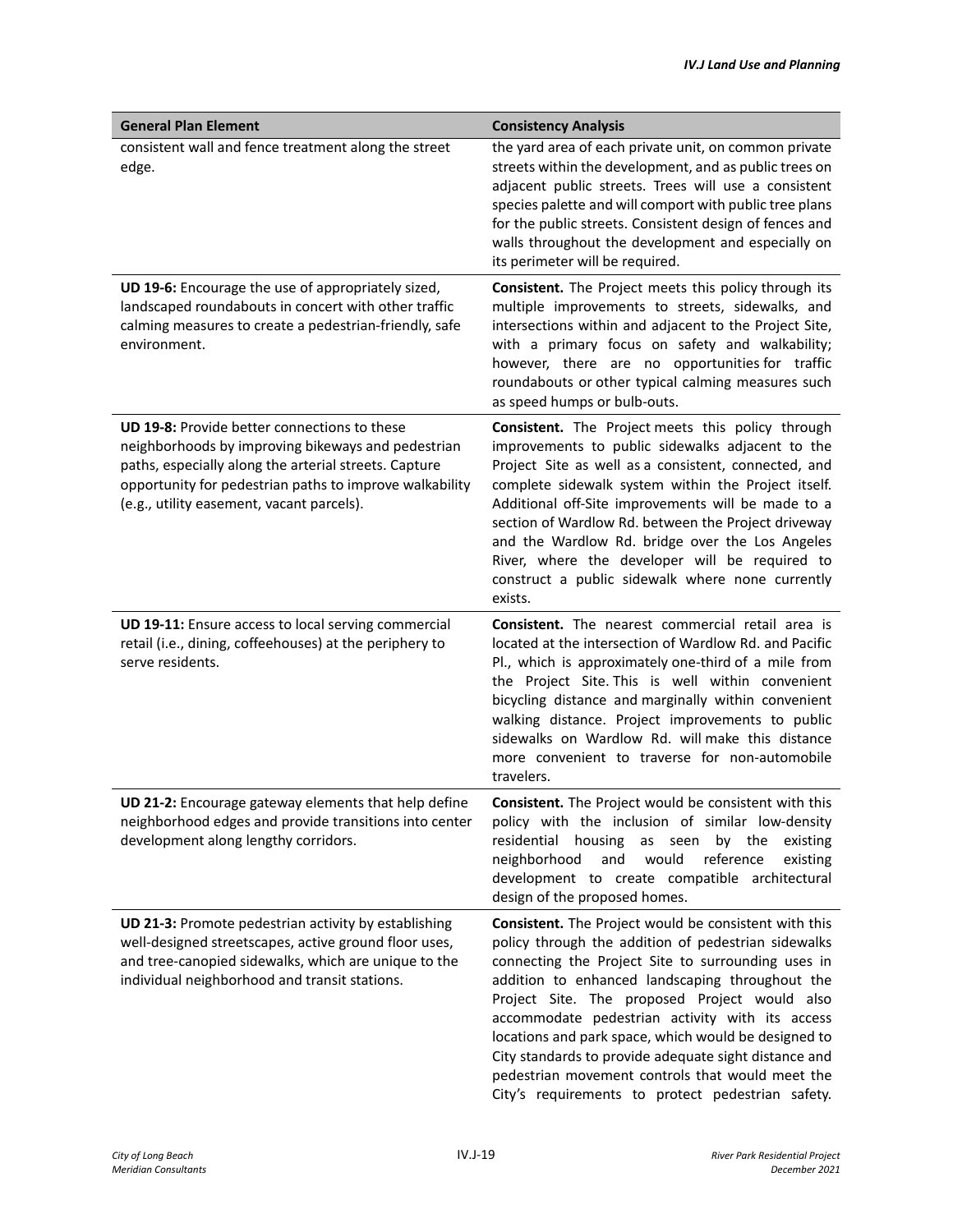| <b>General Plan Element</b>                                                                                                                                                                                                                                         | <b>Consistency Analysis</b>                                                                                                                                                                                                                                                                                                                                                                                                                                                                                                                         |
|---------------------------------------------------------------------------------------------------------------------------------------------------------------------------------------------------------------------------------------------------------------------|-----------------------------------------------------------------------------------------------------------------------------------------------------------------------------------------------------------------------------------------------------------------------------------------------------------------------------------------------------------------------------------------------------------------------------------------------------------------------------------------------------------------------------------------------------|
| consistent wall and fence treatment along the street<br>edge.                                                                                                                                                                                                       | the yard area of each private unit, on common private<br>streets within the development, and as public trees on<br>adjacent public streets. Trees will use a consistent<br>species palette and will comport with public tree plans<br>for the public streets. Consistent design of fences and<br>walls throughout the development and especially on<br>its perimeter will be required.                                                                                                                                                              |
| UD 19-6: Encourage the use of appropriately sized,<br>landscaped roundabouts in concert with other traffic<br>calming measures to create a pedestrian-friendly, safe<br>environment.                                                                                | Consistent. The Project meets this policy through its<br>multiple improvements to streets, sidewalks, and<br>intersections within and adjacent to the Project Site,<br>with a primary focus on safety and walkability;<br>however, there are no opportunities for traffic<br>roundabouts or other typical calming measures such<br>as speed humps or bulb-outs.                                                                                                                                                                                     |
| UD 19-8: Provide better connections to these<br>neighborhoods by improving bikeways and pedestrian<br>paths, especially along the arterial streets. Capture<br>opportunity for pedestrian paths to improve walkability<br>(e.g., utility easement, vacant parcels). | Consistent. The Project meets this policy through<br>improvements to public sidewalks adjacent to the<br>Project Site as well as a consistent, connected, and<br>complete sidewalk system within the Project itself.<br>Additional off-Site improvements will be made to a<br>section of Wardlow Rd. between the Project driveway<br>and the Wardlow Rd. bridge over the Los Angeles<br>River, where the developer will be required to<br>construct a public sidewalk where none currently<br>exists.                                               |
| UD 19-11: Ensure access to local serving commercial<br>retail (i.e., dining, coffeehouses) at the periphery to<br>serve residents.                                                                                                                                  | <b>Consistent.</b> The nearest commercial retail area is<br>located at the intersection of Wardlow Rd. and Pacific<br>Pl., which is approximately one-third of a mile from<br>the Project Site. This is well within convenient<br>bicycling distance and marginally within convenient<br>walking distance. Project improvements to public<br>sidewalks on Wardlow Rd. will make this distance<br>more convenient to traverse for non-automobile<br>travelers.                                                                                       |
| UD 21-2: Encourage gateway elements that help define<br>neighborhood edges and provide transitions into center<br>development along lengthy corridors.                                                                                                              | <b>Consistent.</b> The Project would be consistent with this<br>policy with the inclusion of similar low-density<br>residential<br>housing<br>by the<br>as<br>existing<br>seen<br>neighborhood<br>would<br>reference<br>and<br>existing<br>development to create compatible architectural<br>design of the proposed homes.                                                                                                                                                                                                                          |
| UD 21-3: Promote pedestrian activity by establishing<br>well-designed streetscapes, active ground floor uses,<br>and tree-canopied sidewalks, which are unique to the<br>individual neighborhood and transit stations.                                              | Consistent. The Project would be consistent with this<br>policy through the addition of pedestrian sidewalks<br>connecting the Project Site to surrounding uses in<br>addition to enhanced landscaping throughout the<br>Project Site. The proposed Project would also<br>accommodate pedestrian activity with its access<br>locations and park space, which would be designed to<br>City standards to provide adequate sight distance and<br>pedestrian movement controls that would meet the<br>City's requirements to protect pedestrian safety. |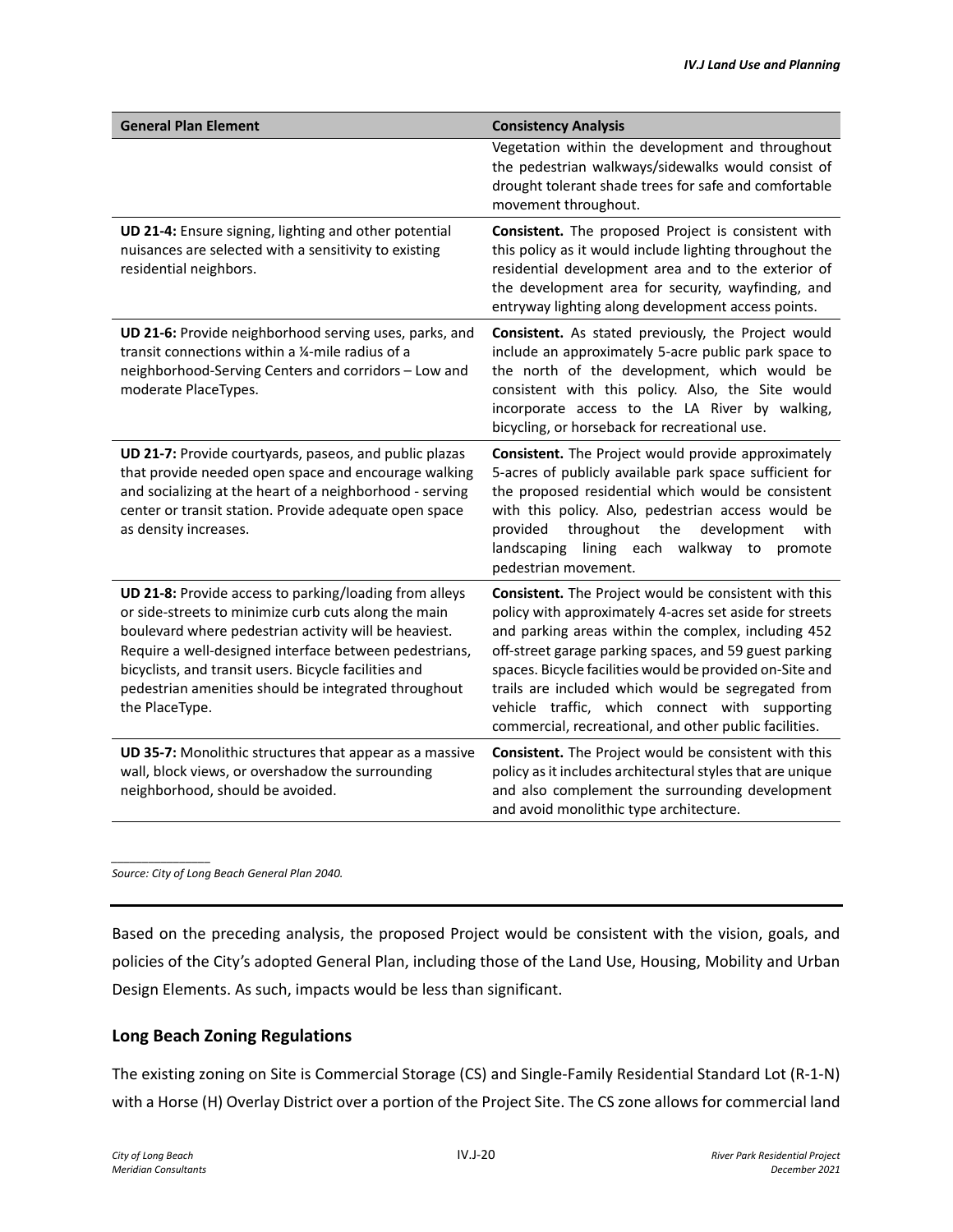| <b>General Plan Element</b>                                                                                                                                                                                                                                                                                                                                          | <b>Consistency Analysis</b>                                                                                                                                                                                                                                                                                                                                                                                                                                     |
|----------------------------------------------------------------------------------------------------------------------------------------------------------------------------------------------------------------------------------------------------------------------------------------------------------------------------------------------------------------------|-----------------------------------------------------------------------------------------------------------------------------------------------------------------------------------------------------------------------------------------------------------------------------------------------------------------------------------------------------------------------------------------------------------------------------------------------------------------|
|                                                                                                                                                                                                                                                                                                                                                                      | Vegetation within the development and throughout<br>the pedestrian walkways/sidewalks would consist of<br>drought tolerant shade trees for safe and comfortable<br>movement throughout.                                                                                                                                                                                                                                                                         |
| UD 21-4: Ensure signing, lighting and other potential<br>nuisances are selected with a sensitivity to existing<br>residential neighbors.                                                                                                                                                                                                                             | Consistent. The proposed Project is consistent with<br>this policy as it would include lighting throughout the<br>residential development area and to the exterior of<br>the development area for security, wayfinding, and<br>entryway lighting along development access points.                                                                                                                                                                               |
| UD 21-6: Provide neighborhood serving uses, parks, and<br>transit connections within a 1/4-mile radius of a<br>neighborhood-Serving Centers and corridors - Low and<br>moderate PlaceTypes.                                                                                                                                                                          | Consistent. As stated previously, the Project would<br>include an approximately 5-acre public park space to<br>the north of the development, which would be<br>consistent with this policy. Also, the Site would<br>incorporate access to the LA River by walking,<br>bicycling, or horseback for recreational use.                                                                                                                                             |
| UD 21-7: Provide courtyards, paseos, and public plazas<br>that provide needed open space and encourage walking<br>and socializing at the heart of a neighborhood - serving<br>center or transit station. Provide adequate open space<br>as density increases.                                                                                                        | Consistent. The Project would provide approximately<br>5-acres of publicly available park space sufficient for<br>the proposed residential which would be consistent<br>with this policy. Also, pedestrian access would be<br>throughout the<br>development<br>provided<br>with<br>landscaping<br>lining each walkway to<br>promote<br>pedestrian movement.                                                                                                     |
| UD 21-8: Provide access to parking/loading from alleys<br>or side-streets to minimize curb cuts along the main<br>boulevard where pedestrian activity will be heaviest.<br>Require a well-designed interface between pedestrians,<br>bicyclists, and transit users. Bicycle facilities and<br>pedestrian amenities should be integrated throughout<br>the PlaceType. | Consistent. The Project would be consistent with this<br>policy with approximately 4-acres set aside for streets<br>and parking areas within the complex, including 452<br>off-street garage parking spaces, and 59 guest parking<br>spaces. Bicycle facilities would be provided on-Site and<br>trails are included which would be segregated from<br>vehicle traffic, which connect with supporting<br>commercial, recreational, and other public facilities. |
| UD 35-7: Monolithic structures that appear as a massive<br>wall, block views, or overshadow the surrounding<br>neighborhood, should be avoided.                                                                                                                                                                                                                      | Consistent. The Project would be consistent with this<br>policy as it includes architectural styles that are unique<br>and also complement the surrounding development<br>and avoid monolithic type architecture.                                                                                                                                                                                                                                               |

*Source: City of Long Beach General Plan 2040.* 

Based on the preceding analysis, the proposed Project would be consistent with the vision, goals, and policies of the City's adopted General Plan, including those of the Land Use, Housing, Mobility and Urban Design Elements. As such, impacts would be less than significant.

### **Long Beach Zoning Regulations**

The existing zoning on Site is Commercial Storage (CS) and Single-Family Residential Standard Lot (R-1-N) with a Horse (H) Overlay District over a portion of the Project Site. The CS zone allows for commercial land

*\_\_\_\_\_\_\_\_\_\_\_\_\_\_\_\_*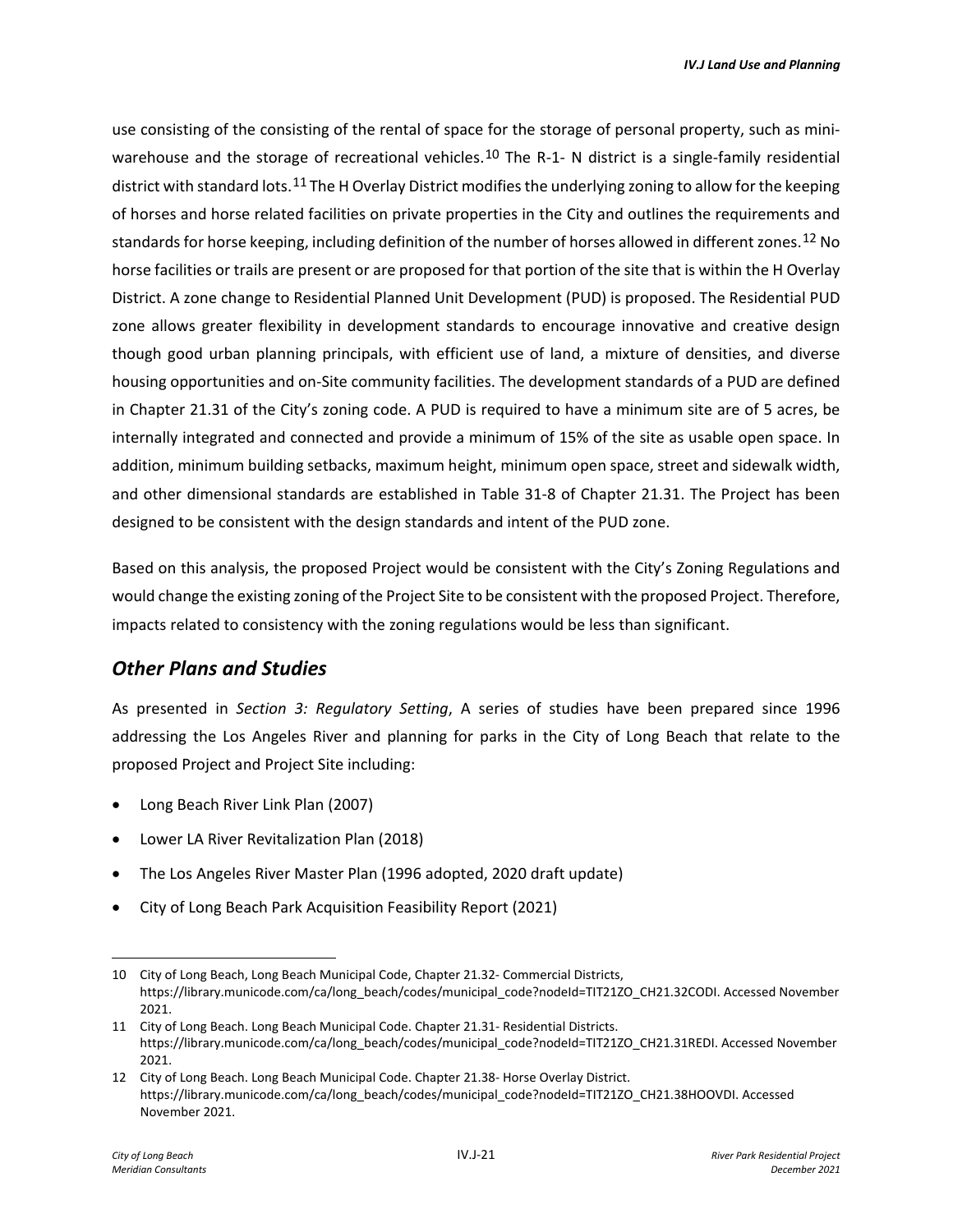use consisting of the consisting of the rental of space for the storage of personal property, such as mini-warehouse and the storage of recreational vehicles.<sup>[10](#page-20-0)</sup> The R-1-N district is a single-family residential district with standard lots.[11](#page-20-1) The H Overlay District modifies the underlying zoning to allow for the keeping of horses and horse related facilities on private properties in the City and outlines the requirements and standards for horse keeping, including definition of the number of horses allowed in different zones.[12](#page-20-2) No horse facilities or trails are present or are proposed for that portion of the site that is within the H Overlay District. A zone change to Residential Planned Unit Development (PUD) is proposed. The Residential PUD zone allows greater flexibility in development standards to encourage innovative and creative design though good urban planning principals, with efficient use of land, a mixture of densities, and diverse housing opportunities and on-Site community facilities. The development standards of a PUD are defined in Chapter 21.31 of the City's zoning code. A PUD is required to have a minimum site are of 5 acres, be internally integrated and connected and provide a minimum of 15% of the site as usable open space. In addition, minimum building setbacks, maximum height, minimum open space, street and sidewalk width, and other dimensional standards are established in Table 31-8 of Chapter 21.31. The Project has been designed to be consistent with the design standards and intent of the PUD zone.

Based on this analysis, the proposed Project would be consistent with the City's Zoning Regulations and would change the existing zoning of the Project Site to be consistent with the proposed Project. Therefore, impacts related to consistency with the zoning regulations would be less than significant.

### *Other Plans and Studies*

As presented in *Section 3: Regulatory Setting*, A series of studies have been prepared since 1996 addressing the Los Angeles River and planning for parks in the City of Long Beach that relate to the proposed Project and Project Site including:

- Long Beach River Link Plan (2007)
- Lower LA River Revitalization Plan (2018)
- The Los Angeles River Master Plan (1996 adopted, 2020 draft update)
- City of Long Beach Park Acquisition Feasibility Report (2021)

<span id="page-20-0"></span><sup>10</sup> City of Long Beach, Long Beach Municipal Code, Chapter 21.32- Commercial Districts, https://library.municode.com/ca/long\_beach/codes/municipal\_code?nodeId=TIT21ZO\_CH21.32CODI. Accessed November 2021.

<span id="page-20-1"></span><sup>11</sup> City of Long Beach. Long Beach Municipal Code. Chapter 21.31- Residential Districts. https://library.municode.com/ca/long\_beach/codes/municipal\_code?nodeId=TIT21ZO\_CH21.31REDI. Accessed November 2021.

<span id="page-20-2"></span><sup>12</sup> City of Long Beach. Long Beach Municipal Code. Chapter 21.38- Horse Overlay District. https://library.municode.com/ca/long\_beach/codes/municipal\_code?nodeId=TIT21ZO\_CH21.38HOOVDI. Accessed November 2021.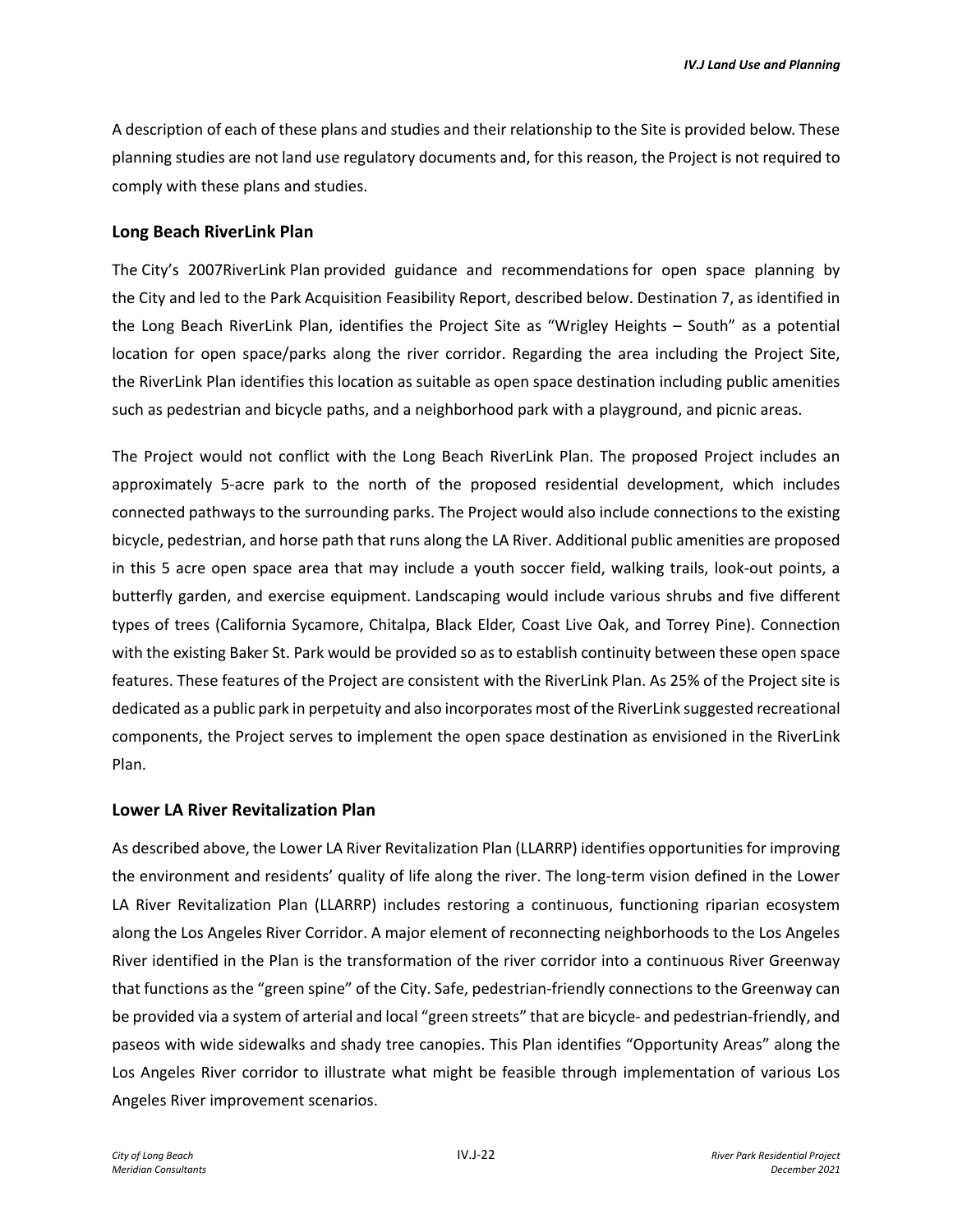A description of each of these plans and studies and their relationship to the Site is provided below. These planning studies are not land use regulatory documents and, for this reason, the Project is not required to comply with these plans and studies.

#### **Long Beach RiverLink Plan**

The City's 2007RiverLink Plan provided guidance and recommendations for open space planning by the City and led to the Park Acquisition Feasibility Report, described below. Destination 7, as identified in the Long Beach RiverLink Plan, identifies the Project Site as "Wrigley Heights – South" as a potential location for open space/parks along the river corridor. Regarding the area including the Project Site, the RiverLink Plan identifies this location as suitable as open space destination including public amenities such as pedestrian and bicycle paths, and a neighborhood park with a playground, and picnic areas.

The Project would not conflict with the Long Beach RiverLink Plan. The proposed Project includes an approximately 5-acre park to the north of the proposed residential development, which includes connected pathways to the surrounding parks. The Project would also include connections to the existing bicycle, pedestrian, and horse path that runs along the LA River. Additional public amenities are proposed in this 5 acre open space area that may include a youth soccer field, walking trails, look-out points, a butterfly garden, and exercise equipment. Landscaping would include various shrubs and five different types of trees (California Sycamore, Chitalpa, Black Elder, Coast Live Oak, and Torrey Pine). Connection with the existing Baker St. Park would be provided so as to establish continuity between these open space features. These features of the Project are consistent with the RiverLink Plan. As 25% of the Project site is dedicated as a public park in perpetuity and also incorporates most of the RiverLink suggested recreational components, the Project serves to implement the open space destination as envisioned in the RiverLink Plan.

#### **Lower LA River Revitalization Plan**

As described above, the Lower LA River Revitalization Plan (LLARRP) identifies opportunities for improving the environment and residents' quality of life along the river. The long-term vision defined in the Lower LA River Revitalization Plan (LLARRP) includes restoring a continuous, functioning riparian ecosystem along the Los Angeles River Corridor. A major element of reconnecting neighborhoods to the Los Angeles River identified in the Plan is the transformation of the river corridor into a continuous River Greenway that functions as the "green spine" of the City. Safe, pedestrian-friendly connections to the Greenway can be provided via a system of arterial and local "green streets" that are bicycle- and pedestrian-friendly, and paseos with wide sidewalks and shady tree canopies. This Plan identifies "Opportunity Areas" along the Los Angeles River corridor to illustrate what might be feasible through implementation of various Los Angeles River improvement scenarios.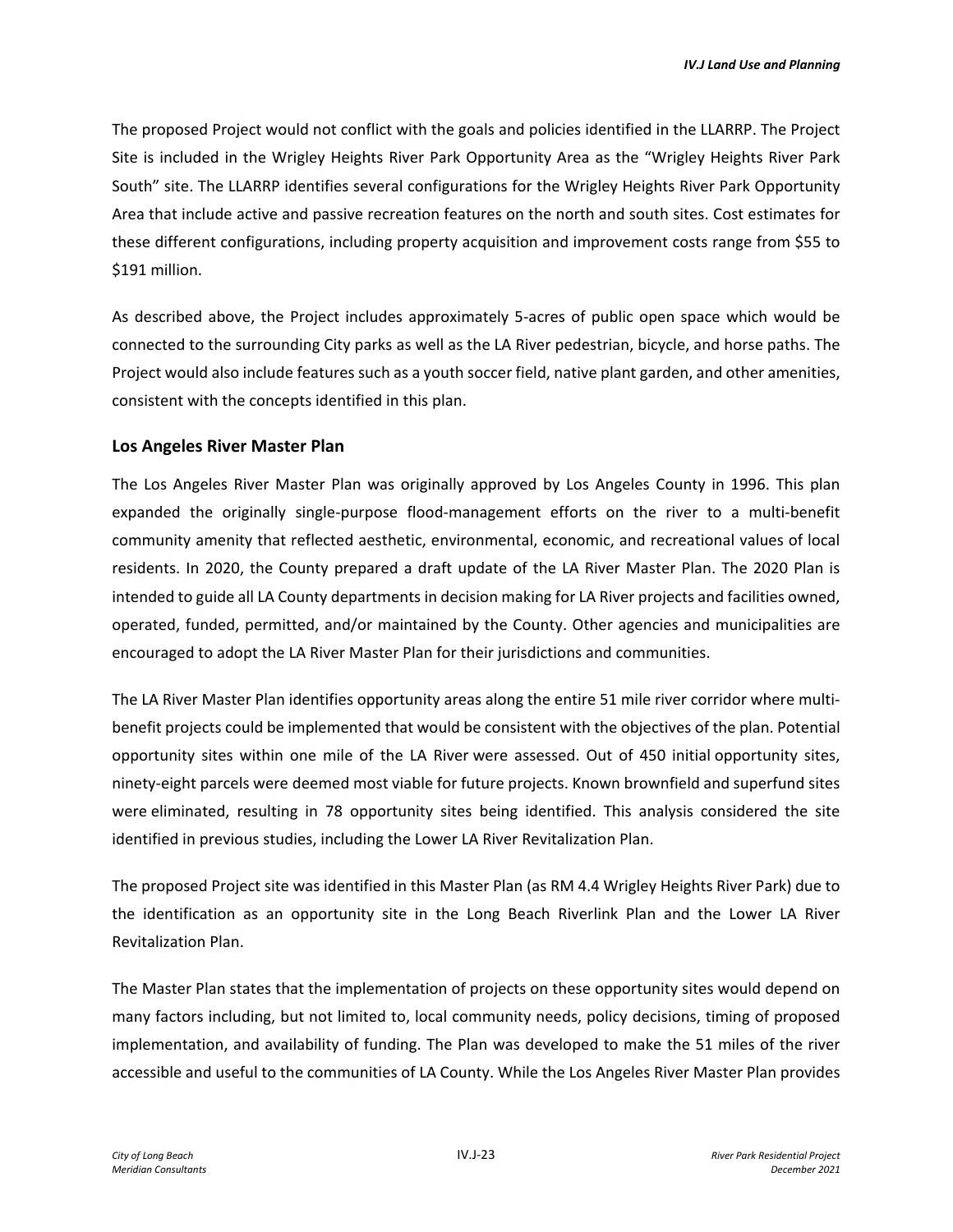The proposed Project would not conflict with the goals and policies identified in the LLARRP. The Project Site is included in the Wrigley Heights River Park Opportunity Area as the "Wrigley Heights River Park South" site. The LLARRP identifies several configurations for the Wrigley Heights River Park Opportunity Area that include active and passive recreation features on the north and south sites. Cost estimates for these different configurations, including property acquisition and improvement costs range from \$55 to \$191 million.

As described above, the Project includes approximately 5-acres of public open space which would be connected to the surrounding City parks as well as the LA River pedestrian, bicycle, and horse paths. The Project would also include features such as a youth soccer field, native plant garden, and other amenities, consistent with the concepts identified in this plan.

### **Los Angeles River Master Plan**

The Los Angeles River Master Plan was originally approved by Los Angeles County in 1996. This plan expanded the originally single-purpose flood-management efforts on the river to a multi-benefit community amenity that reflected aesthetic, environmental, economic, and recreational values of local residents. In 2020, the County prepared a draft update of the LA River Master Plan. The 2020 Plan is intended to guide all LA County departments in decision making for LA River projects and facilities owned, operated, funded, permitted, and/or maintained by the County. Other agencies and municipalities are encouraged to adopt the LA River Master Plan for their jurisdictions and communities.

The LA River Master Plan identifies opportunity areas along the entire 51 mile river corridor where multibenefit projects could be implemented that would be consistent with the objectives of the plan. Potential opportunity sites within one mile of the LA River were assessed. Out of 450 initial opportunity sites, ninety-eight parcels were deemed most viable for future projects. Known brownfield and superfund sites were eliminated, resulting in 78 opportunity sites being identified. This analysis considered the site identified in previous studies, including the Lower LA River Revitalization Plan.

The proposed Project site was identified in this Master Plan (as RM 4.4 Wrigley Heights River Park) due to the identification as an opportunity site in the Long Beach Riverlink Plan and the Lower LA River Revitalization Plan.

The Master Plan states that the implementation of projects on these opportunity sites would depend on many factors including, but not limited to, local community needs, policy decisions, timing of proposed implementation, and availability of funding. The Plan was developed to make the 51 miles of the river accessible and useful to the communities of LA County. While the Los Angeles River Master Plan provides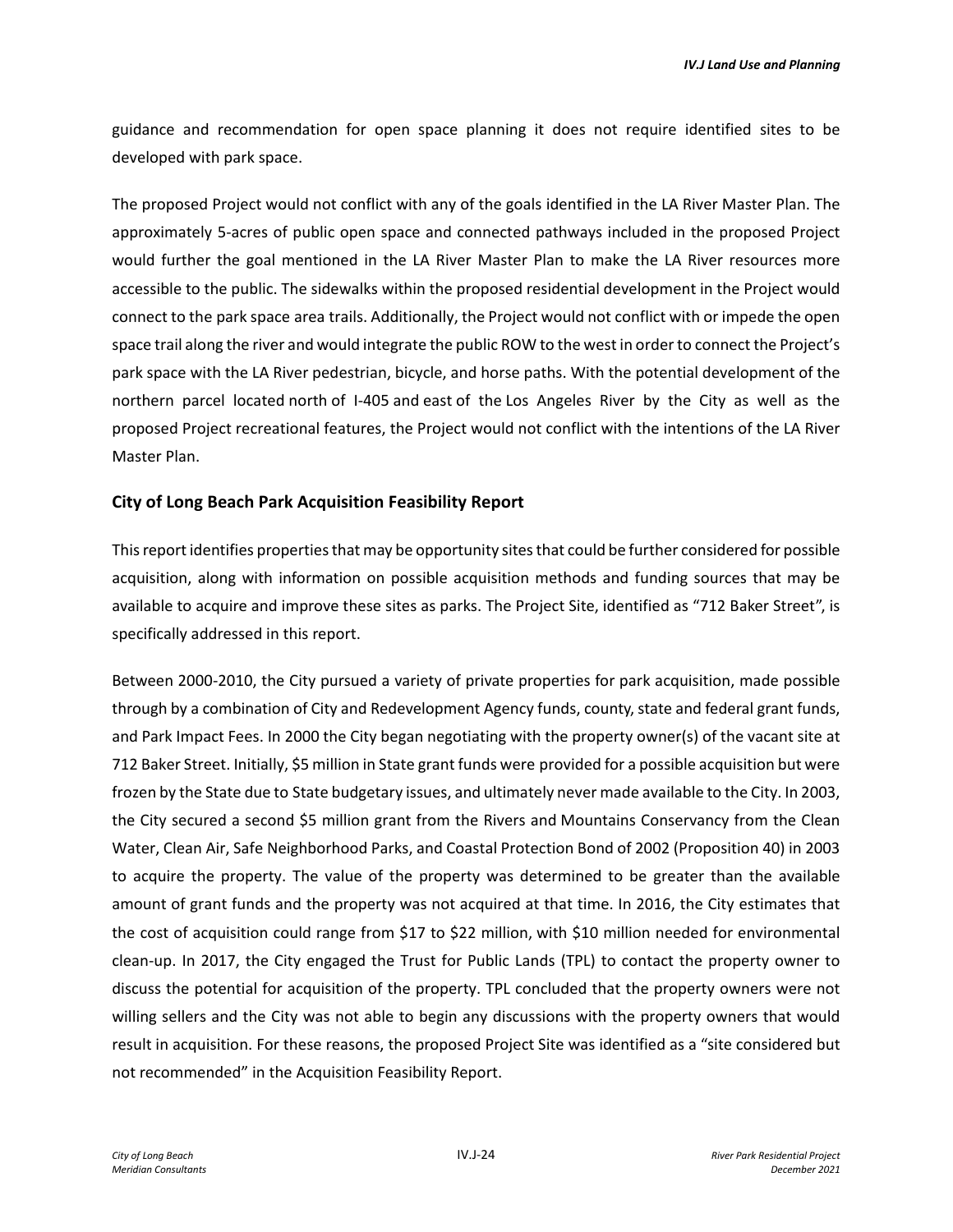guidance and recommendation for open space planning it does not require identified sites to be developed with park space.

The proposed Project would not conflict with any of the goals identified in the LA River Master Plan. The approximately 5-acres of public open space and connected pathways included in the proposed Project would further the goal mentioned in the LA River Master Plan to make the LA River resources more accessible to the public. The sidewalks within the proposed residential development in the Project would connect to the park space area trails. Additionally, the Project would not conflict with or impede the open space trail along the river and would integrate the public ROW to the west in order to connect the Project's park space with the LA River pedestrian, bicycle, and horse paths. With the potential development of the northern parcel located north of I-405 and east of the Los Angeles River by the City as well as the proposed Project recreational features, the Project would not conflict with the intentions of the LA River Master Plan.

#### **City of Long Beach Park Acquisition Feasibility Report**

This report identifies properties that may be opportunity sites that could be further considered for possible acquisition, along with information on possible acquisition methods and funding sources that may be available to acquire and improve these sites as parks. The Project Site, identified as "712 Baker Street", is specifically addressed in this report.

Between 2000-2010, the City pursued a variety of private properties for park acquisition, made possible through by a combination of City and Redevelopment Agency funds, county, state and federal grant funds, and Park Impact Fees. In 2000 the City began negotiating with the property owner(s) of the vacant site at 712 Baker Street. Initially, \$5 million in State grant funds were provided for a possible acquisition but were frozen by the State due to State budgetary issues, and ultimately never made available to the City. In 2003, the City secured a second \$5 million grant from the Rivers and Mountains Conservancy from the Clean Water, Clean Air, Safe Neighborhood Parks, and Coastal Protection Bond of 2002 (Proposition 40) in 2003 to acquire the property. The value of the property was determined to be greater than the available amount of grant funds and the property was not acquired at that time. In 2016, the City estimates that the cost of acquisition could range from \$17 to \$22 million, with \$10 million needed for environmental clean-up. In 2017, the City engaged the Trust for Public Lands (TPL) to contact the property owner to discuss the potential for acquisition of the property. TPL concluded that the property owners were not willing sellers and the City was not able to begin any discussions with the property owners that would result in acquisition. For these reasons, the proposed Project Site was identified as a "site considered but not recommended" in the Acquisition Feasibility Report.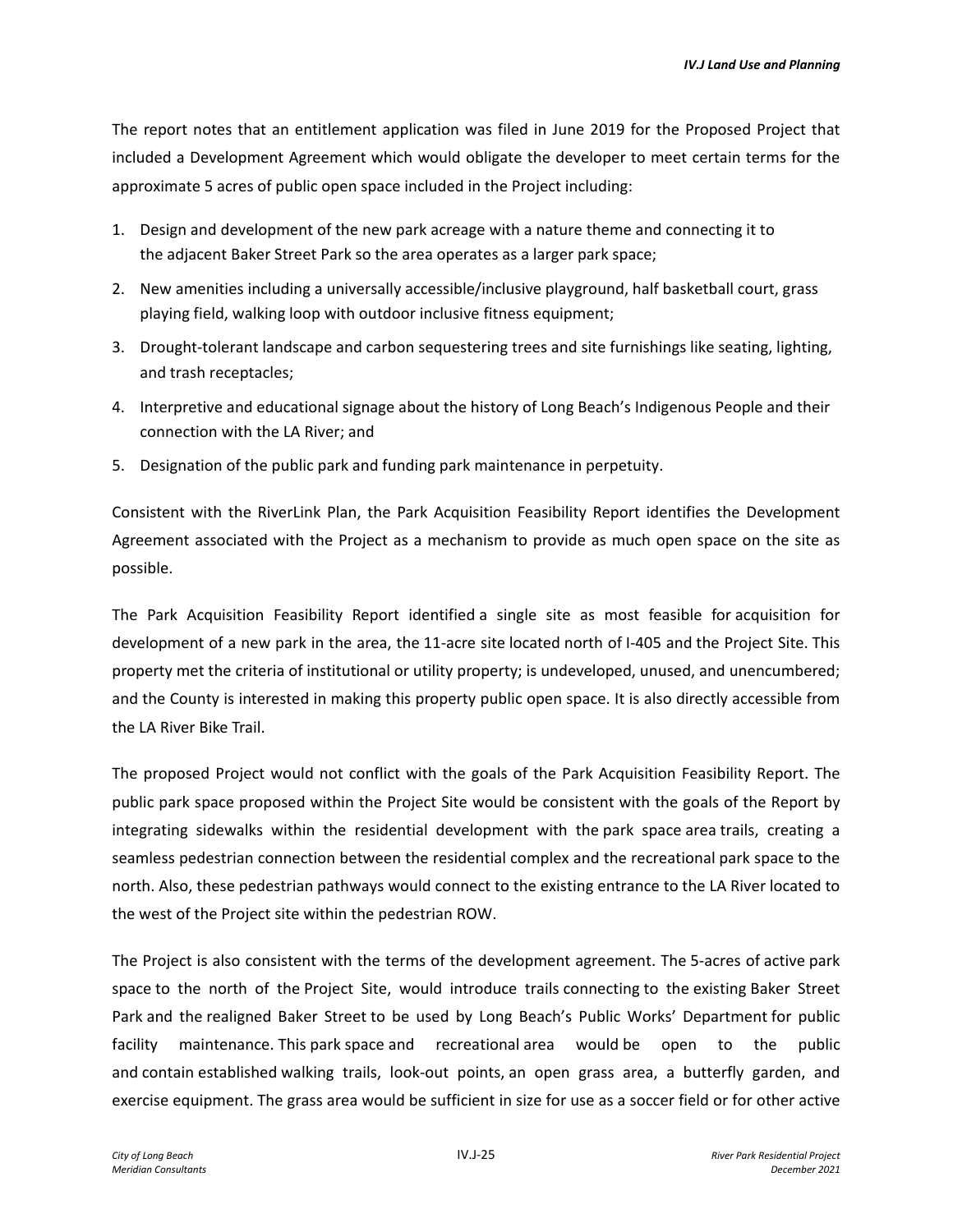The report notes that an entitlement application was filed in June 2019 for the Proposed Project that included a Development Agreement which would obligate the developer to meet certain terms for the approximate 5 acres of public open space included in the Project including:

- 1. Design and development of the new park acreage with a nature theme and connecting it to the adjacent Baker Street Park so the area operates as a larger park space;
- 2. New amenities including a universally accessible/inclusive playground, half basketball court, grass playing field, walking loop with outdoor inclusive fitness equipment;
- 3. Drought-tolerant landscape and carbon sequestering trees and site furnishings like seating, lighting, and trash receptacles;
- 4. Interpretive and educational signage about the history of Long Beach's Indigenous People and their connection with the LA River; and
- 5. Designation of the public park and funding park maintenance in perpetuity.

Consistent with the RiverLink Plan, the Park Acquisition Feasibility Report identifies the Development Agreement associated with the Project as a mechanism to provide as much open space on the site as possible.

The Park Acquisition Feasibility Report identified a single site as most feasible for acquisition for development of a new park in the area, the 11-acre site located north of I-405 and the Project Site. This property met the criteria of institutional or utility property; is undeveloped, unused, and unencumbered; and the County is interested in making this property public open space. It is also directly accessible from the LA River Bike Trail.

The proposed Project would not conflict with the goals of the Park Acquisition Feasibility Report. The public park space proposed within the Project Site would be consistent with the goals of the Report by integrating sidewalks within the residential development with the park space area trails, creating a seamless pedestrian connection between the residential complex and the recreational park space to the north. Also, these pedestrian pathways would connect to the existing entrance to the LA River located to the west of the Project site within the pedestrian ROW.

The Project is also consistent with the terms of the development agreement. The 5-acres of active park space to the north of the Project Site, would introduce trails connecting to the existing Baker Street Park and the realigned Baker Street to be used by Long Beach's Public Works' Department for public facility maintenance. This park space and recreational area would be open to the public and contain established walking trails, look-out points, an open grass area, a butterfly garden, and exercise equipment. The grass area would be sufficient in size for use as a soccer field or for other active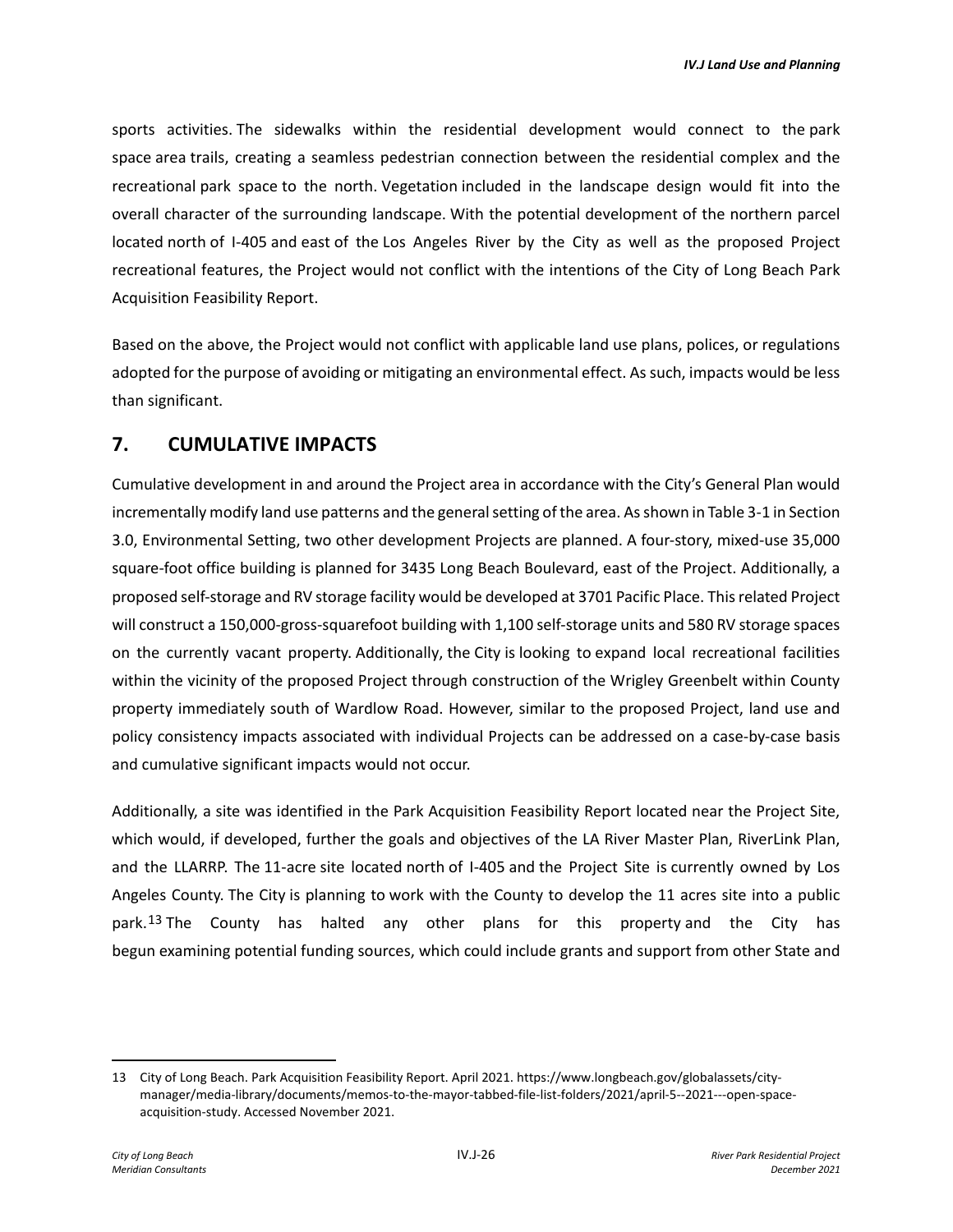sports activities. The sidewalks within the residential development would connect to the park space area trails, creating a seamless pedestrian connection between the residential complex and the recreational park space to the north. Vegetation included in the landscape design would fit into the overall character of the surrounding landscape. With the potential development of the northern parcel located north of I-405 and east of the Los Angeles River by the City as well as the proposed Project recreational features, the Project would not conflict with the intentions of the City of Long Beach Park Acquisition Feasibility Report.

Based on the above, the Project would not conflict with applicable land use plans, polices, or regulations adopted for the purpose of avoiding or mitigating an environmental effect. As such, impacts would be less than significant.

# **7. CUMULATIVE IMPACTS**

Cumulative development in and around the Project area in accordance with the City's General Plan would incrementally modify land use patterns and the general setting of the area. As shown in Table 3-1 in Section 3.0, Environmental Setting, two other development Projects are planned. A four-story, mixed-use 35,000 square-foot office building is planned for 3435 Long Beach Boulevard, east of the Project. Additionally, a proposed self-storage and RV storage facility would be developed at 3701 Pacific Place. This related Project will construct a 150,000-gross-squarefoot building with 1,100 self-storage units and 580 RV storage spaces on the currently vacant property. Additionally, the City is looking to expand local recreational facilities within the vicinity of the proposed Project through construction of the Wrigley Greenbelt within County property immediately south of Wardlow Road. However, similar to the proposed Project, land use and policy consistency impacts associated with individual Projects can be addressed on a case-by-case basis and cumulative significant impacts would not occur.

Additionally, a site was identified in the Park Acquisition Feasibility Report located near the Project Site, which would, if developed, further the goals and objectives of the LA River Master Plan, RiverLink Plan, and the LLARRP. The 11-acre site located north of I-405 and the Project Site is currently owned by Los Angeles County. The City is planning to work with the County to develop the 11 acres site into a public park.<sup>[13](#page-25-0)</sup> The County has halted any other plans for this property and the City has begun examining potential funding sources, which could include grants and support from other State and

<span id="page-25-0"></span><sup>13</sup> City of Long Beach. Park Acquisition Feasibility Report. April 2021. https://www.longbeach.gov/globalassets/citymanager/media-library/documents/memos-to-the-mayor-tabbed-file-list-folders/2021/april-5--2021---open-spaceacquisition-study. Accessed November 2021.